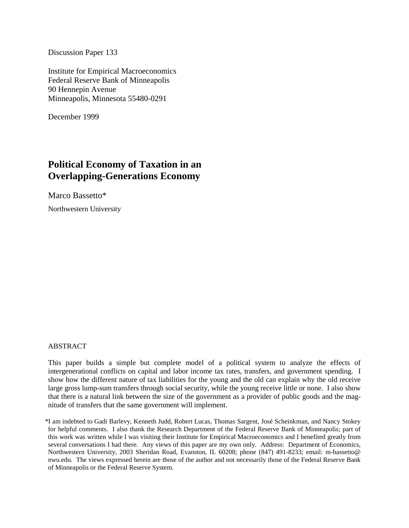Discussion Paper 133

Institute for Empirical Macroeconomics Federal Reserve Bank of Minneapolis 90 Hennepin Avenue Minneapolis, Minnesota 55480-0291

December 1999

# **Political Economy of Taxation in an Overlapping-Generations Economy**

Marco Bassetto\* Northwestern University

# ABSTRACT

This paper builds a simple but complete model of a political system to analyze the effects of intergenerational conflicts on capital and labor income tax rates, transfers, and government spending. I show how the different nature of tax liabilities for the young and the old can explain why the old receive large gross lump-sum transfers through social security, while the young receive little or none. I also show that there is a natural link between the size of the government as a provider of public goods and the magnitude of transfers that the same government will implement.

\*I am indebted to Gadi Barlevy, Kenneth Judd, Robert Lucas, Thomas Sargent, José Scheinkman, and Nancy Stokey for helpful comments. I also thank the Research Department of the Federal Reserve Bank of Minneapolis; part of this work was written while I was visiting their Institute for Empirical Macroeconomics and I benefited greatly from several conversations I had there. Any views of this paper are my own only. Address: Department of Economics, Northwestern University, 2003 Sheridan Road, Evanston, IL 60208; phone (847) 491-8233; email: m-bassetto@ nwu.edu. The views expressed herein are those of the author and not necessarily those of the Federal Reserve Bank of Minneapolis or the Federal Reserve System.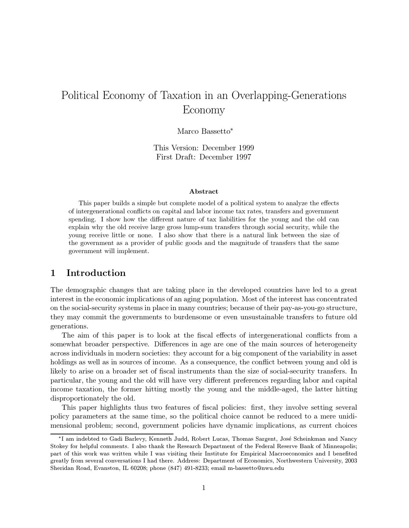# Political Economy of Taxation in an Overlapping-Generations Economy

Marco Bassetto\*

This Version: December 1999 First Draft: December 1997

# A bstract

This paper builds a simple but complete model of a political system to analyze the effects of intergenerational conflicts on capital and labor income tax rates, transfers and government spending. I show how the different nature of tax liabilities for the young and the old can explain why the old receive large gross lump-sum transfers through social security, while the young receive little or none. I also show that there is a natural link between the size of the government as a provider of public goods and the magnitude of transfers that the same government will implement.

# Introduction  $\mathbf 1$

The demographic changes that are taking place in the developed countries have led to a great interest in the economic implications of an aging population. Most of the interest has concentrated on the social-security systems in place in many countries; because of their pay-as-you-go structure, they may commit the governments to burdensome or even unsustainable transfers to future old generations.

The aim of this paper is to look at the fiscal effects of intergenerational conflicts from a somewhat broader perspective. Differences in age are one of the main sources of heterogeneity across individuals in modern societies: they account for a big component of the variability in asset holdings as well as in sources of income. As a consequence, the conflict between young and old is likely to arise on a broader set of fiscal instruments than the size of social-security transfers. In particular, the young and the old will have very different preferences regarding labor and capital income taxation, the former hitting mostly the young and the middle-aged, the latter hitting disproportionately the old.

This paper highlights thus two features of fiscal policies: first, they involve setting several policy parameters at the same time, so the political choice cannot be reduced to a mere unidimensional problem; second, government policies have dynamic implications, as current choices

<sup>\*</sup>I am indebted to Gadi Barlevy, Kenneth Judd, Robert Lucas, Thomas Sargent, José Scheinkman and Nancy Stokey for helpful comments. I also thank the Research Department of the Federal Reserve Bank of Minneapolis; part of this work was written while I was visiting their Institute for Empirical Macroeconomics and I benefited greatly from several conversations I had there. Address: Department of Economics, Northwestern University, 2003 Sheridan Road, Evanston, IL 60208; phone (847) 491-8233; email m-bassetto@nwu.edu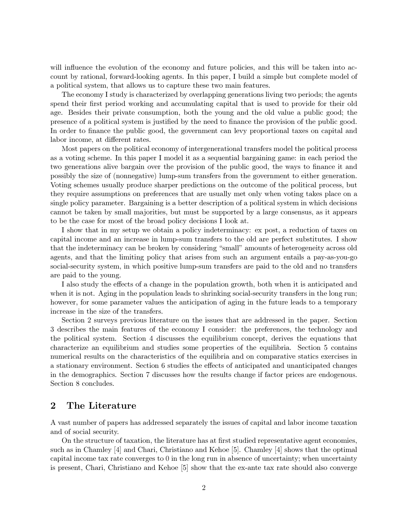will influence the evolution of the economy and future policies, and this will be taken into account by rational, forward-looking agents. In this paper, I build a simple but complete model of a political system, that allows us to capture these two main features.

The economy I study is characterized by overlapping generations living two periods; the agents spend their first period working and accumulating capital that is used to provide for their old age. Besides their private consumption, both the young and the old value a public good; the presence of a political system is justified by the need to finance the provision of the public good. In order to finance the public good, the government can levy proportional taxes on capital and labor income, at different rates.

Most papers on the political economy of intergenerational transfers model the political process as a voting scheme. In this paper I model it as a sequential bargaining game: in each period the two generations alive bargain over the provision of the public good, the ways to finance it and possibly the size of (nonnegative) lump-sum transfers from the government to either generation. Voting schemes usually produce sharper predictions on the outcome of the political process, but they require assumptions on preferences that are usually met only when voting takes place on a single policy parameter. Bargaining is a better description of a political system in which decisions cannot be taken by small majorities, but must be supported by a large consensus, as it appears to be the case for most of the broad policy decisions I look at.

I show that in my setup we obtain a policy indeterminacy: ex post, a reduction of taxes on capital income and an increase in lump-sum transfers to the old are perfect substitutes. I show that the indeterminacy can be broken by considering "small" amounts of heterogeneity across old agents, and that the limiting policy that arises from such an argument entails a pay-as-you-go social-security system, in which positive lump-sum transfers are paid to the old and no transfers are paid to the young.

I also study the effects of a change in the population growth, both when it is anticipated and when it is not. Aging in the population leads to shrinking social-security transfers in the long run; however, for some parameter values the anticipation of aging in the future leads to a temporary increase in the size of the transfers.

Section 2 surveys previous literature on the issues that are addressed in the paper. Section 3 describes the main features of the economy I consider: the preferences, the technology and the political system. Section 4 discusses the equilibrium concept, derives the equations that characterize an equilibrium and studies some properties of the equilibria. Section 5 contains numerical results on the characteristics of the equilibria and on comparative statics exercises in a stationary environment. Section 6 studies the effects of anticipated and unanticipated changes in the demographics. Section 7 discusses how the results change if factor prices are endogenous. Section 8 concludes.

# $\bf{2}$ The Literature

A vast number of papers has addressed separately the issues of capital and labor income taxation and of social security.

On the structure of taxation, the literature has at first studied representative agent economies, such as in Chamley [4] and Chari, Christiano and Kehoe [5]. Chamley [4] shows that the optimal capital income tax rate converges to  $0$  in the long run in absence of uncertainty; when uncertainty is present, Chari, Christiano and Kehoe [5] show that the ex-ante tax rate should also converge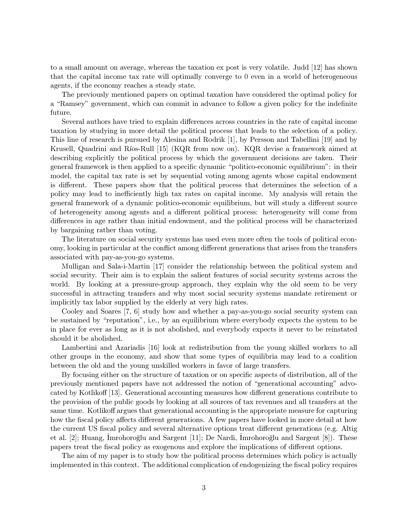to a small amount on average, whereas the taxation ex post is very volatile. Judd [12] has shown that the capital income tax rate will optimally converge to 0 even in a world of heterogeneous agents, if the economy reaches a steady state.

The previously mentioned papers on optimal taxation have considered the optimal policy for a "Ramsey" government, which can commit in advance to follow a given policy for the indefinite future.

Several authors have tried to explain differences across countries in the rate of capital income taxation by studying in more detail the political process that leads to the selection of a policy. This line of research is pursued by Alesina and Rodrik [1], by Persson and Tabellini [19] and by Krusell, Quadrini and Ríos-Rull [15] (KQR from now on). KQR devise a framework aimed at describing explicitly the political process by which the government decisions are taken. Their general framework is then applied to a specific dynamic "politico-economic equilibrium": in their model, the capital tax rate is set by sequential voting among agents whose capital endowment is different. These papers show that the political process that determines the selection of a policy may lead to inefficiently high tax rates on capital income. My analysis will retain the general framework of a dynamic politico-economic equilibrium, but will study a different source of heterogeneity among agents and a different political process: heterogeneity will come from differences in age rather than initial endowment, and the political process will be characterized by bargaining rather than voting.

The literature on social security systems has used even more often the tools of political economy, looking in particular at the conflict among different generations that arises from the transfers associated with pay-as-you-go systems.

Mulligan and Sala-i-Martin [17] consider the relationship between the political system and social security. Their aim is to explain the salient features of social security systems across the world. By looking at a pressure-group approach, they explain why the old seem to be very successful in attracting transfers and why most social security systems mandate retirement or implicitly tax labor supplied by the elderly at very high rates.

Cooley and Soares [7, 6] study how and whether a pay-as-you-go social security system can be sustained by "reputation", i.e., by an equilibrium where everybody expects the system to be in place for ever as long as it is not abolished, and everybody expects it never to be reinstated should it be abolished.

Lambertini and Azariadis [16] look at redistribution from the young skilled workers to all other groups in the economy, and show that some types of equilibria may lead to a coalition between the old and the young unskilled workers in favor of large transfers.

By focusing either on the structure of taxation or on specific aspects of distribution, all of the previously mentioned papers have not addressed the notion of "generational accounting" advocated by Kotlikoff [13]. Generational accounting measures how different generations contribute to the provision of the public goods by looking at all sources of tax revenues and all transfers at the same time. Kotlikoff argues that generational accounting is the appropriate measure for capturing how the fiscal policy affects different generations. A few papers have looked in more detail at how the current US fiscal policy and several alternative options treat different generations (e.g. Altig et al. [2]; Huang, Imrohoroğlu and Sargent [11]; De Nardi, Imrohoroğlu and Sargent [8]). These papers treat the fiscal policy as exogenous and explore the implications of different options.

The aim of my paper is to study how the political process determines which policy is actually implemented in this context. The additional complication of endogenizing the fiscal policy requires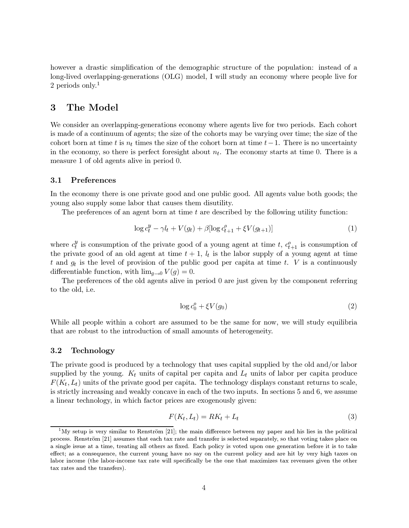however a drastic simplification of the demographic structure of the population: instead of a long-lived overlapping-generations (OLG) model, I will study an economy where people live for 2 periods only.<sup>1</sup>

# 3 The Model

We consider an overlapping-generations economy where agents live for two periods. Each cohort is made of a continuum of agents; the size of the cohorts may be varying over time; the size of the cohort born at time t is  $n_t$  times the size of the cohort born at time  $t-1$ . There is no uncertainty in the economy, so there is perfect foresight about  $n_t$ . The economy starts at time 0. There is a measure 1 of old agents alive in period 0.

#### 3.1 Preferences

In the economy there is one private good and one public good. All agents value both goods; the young also supply some labor that causes them disutility.

The preferences of an agent born at time  $t$  are described by the following utility function:

$$
\log c_t^y - \gamma l_t + V(g_t) + \beta [\log c_{t+1}^o + \xi V(g_{t+1})] \tag{1}
$$

where  $c_t^y$  is consumption of the private good of a young agent at time t,  $c_{t+1}^o$  is consumption of the private good of an old agent at time  $t + 1$ ,  $l_t$  is the labor supply of a young agent at time t and  $g_t$  is the level of provision of the public good per capita at time t. V is a continuously differentiable function, with  $\lim_{q\to 0} V(q) = 0$ .

The preferences of the old agents alive in period 0 are just given by the component referring to the old, i.e.

$$
\log c_0^o + \xi V(g_0) \tag{2}
$$

While all people within a cohort are assumed to be the same for now, we will study equilibria that are robust to the introduction of small amounts of heterogeneity.

#### 3.2 Technology

The private good is produced by a technology that uses capital supplied by the old and/or labor supplied by the young.  $K_t$  units of capital per capita and  $L_t$  units of labor per capita produce  $F(K_t, L_t)$  units of the private good per capita. The technology displays constant returns to scale, is strictly increasing and weakly concave in each of the two inputs. In sections 5 and 6, we assume a linear technology, in which factor prices are exogenously given:

$$
F(K_t, L_t) = RK_t + L_t \tag{3}
$$

<sup>&</sup>lt;sup>1</sup>My setup is very similar to Renström [21]; the main difference between my paper and his lies in the political process. Renström [21] assumes that each tax rate and transfer is selected separately, so that voting takes place on a single issue at a time, treating all others as fixed. Each policy is voted upon one generation before it is to take effect; as a consequence, the current young have no say on the current policy and are hit by very high taxes on labor income (the labor-income tax rate will specifically be the one that maximizes tax revenues given the other tax rates and the transfers).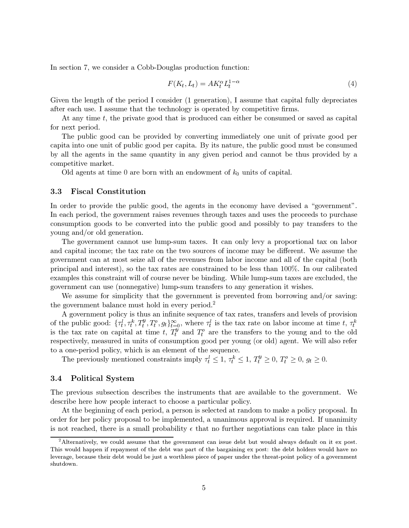In section 7, we consider a Cobb-Douglas production function:

$$
F(K_t, L_t) = AK_t^{\alpha}L_t^{1-\alpha}
$$
\n<sup>(4)</sup>

Given the length of the period I consider (1 generation), I assume that capital fully depreciates after each use. I assume that the technology is operated by competitive firms.

At any time t, the private good that is produced can either be consumed or saved as capital for next period.

The public good can be provided by converting immediately one unit of private good per capita into one unit of public good per capita. By its nature, the public good must be consumed by all the agents in the same quantity in any given period and cannot be thus provided by a competitive market.

Old agents at time 0 are born with an endowment of  $k_0$  units of capital.

#### $3.3\,$ **Fiscal Constitution**

In order to provide the public good, the agents in the economy have devised a "government". In each period, the government raises revenues through taxes and uses the proceeds to purchase consumption goods to be converted into the public good and possibly to pay transfers to the young and/or old generation.

The government cannot use lump-sum taxes. It can only levy a proportional tax on labor and capital income; the tax rate on the two sources of income may be different. We assume the government can at most seize all of the revenues from labor income and all of the capital (both principal and interest), so the tax rates are constrained to be less than 100%. In our calibrated examples this constraint will of course never be binding. While lump-sum taxes are excluded, the government can use (nonnegative) lump-sum transfers to any generation it wishes.

We assume for simplicity that the government is prevented from borrowing and/or saving: the government balance must hold in every period.<sup>2</sup>

A government policy is thus an infinite sequence of tax rates, transfers and levels of provision of the public good:  $\{\tau_t^l, \tau_t^k, T_t^y, T_t^o, g_t\}_{t=0}^{\infty}$ , where  $\tau_t^l$  is the tax rate on labor income at time t,  $\tau_t^k$ is the tax rate on capital at time t,  $T_t^y$  and  $T_t^o$  are the transfers to the young and to the old respectively, measured in units of consumption good per young (or old) agent. We will also refer to a one-period policy, which is an element of the sequence.

The previously mentioned constraints imply  $\tau_t^l \leq 1$ ,  $\tau_t^k \leq 1$ ,  $T_t^y \geq 0$ ,  $T_t^o \geq 0$ ,  $g_t \geq 0$ .

#### **Political System** 3.4

The previous subsection describes the instruments that are available to the government. We describe here how people interact to choose a particular policy.

At the beginning of each period, a person is selected at random to make a policy proposal. In order for her policy proposal to be implemented, a unanimous approval is required. If unanimity is not reached, there is a small probability  $\epsilon$  that no further negotiations can take place in this

<sup>&</sup>lt;sup>2</sup>Alternatively, we could assume that the government can issue debt but would always default on it ex post. This would happen if repayment of the debt was part of the bargaining ex post: the debt holders would have no leverage, because their debt would be just a worthless piece of paper under the threat-point policy of a government shutdown.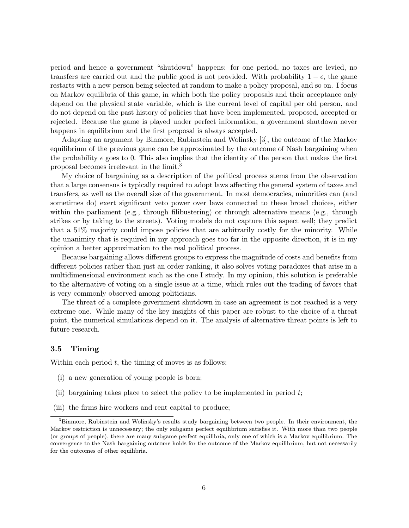period and hence a government "shutdown" happens: for one period, no taxes are levied, no transfers are carried out and the public good is not provided. With probability  $1 - \epsilon$ , the game restarts with a new person being selected at random to make a policy proposal, and so on. I focus on Markov equilibria of this game, in which both the policy proposals and their acceptance only depend on the physical state variable, which is the current level of capital per old person, and do not depend on the past history of policies that have been implemented, proposed, accepted or rejected. Because the game is played under perfect information, a government shutdown never happens in equilibrium and the first proposal is always accepted.

Adapting an argument by Binmore, Rubinstein and Wolinsky [3], the outcome of the Markov equilibrium of the previous game can be approximated by the outcome of Nash bargaining when the probability  $\epsilon$  goes to 0. This also implies that the identity of the person that makes the first proposal becomes irrelevant in the limit.<sup>3</sup>

My choice of bargaining as a description of the political process stems from the observation that a large consensus is typically required to adopt laws affecting the general system of taxes and transfers, as well as the overall size of the government. In most democracies, minorities can (and sometimes do) exert significant veto power over laws connected to these broad choices, either within the parliament (e.g., through filibustering) or through alternative means (e.g., through strikes or by taking to the streets). Voting models do not capture this aspect well; they predict that a 51% majority could impose policies that are arbitrarily costly for the minority. While the unanimity that is required in my approach goes too far in the opposite direction, it is in my opinion a better approximation to the real political process.

Because bargaining allows different groups to express the magnitude of costs and benefits from different policies rather than just an order ranking, it also solves voting paradoxes that arise in a multidimensional environment such as the one I study. In my opinion, this solution is preferable to the alternative of voting on a single issue at a time, which rules out the trading of favors that is very commonly observed among politicians.

The threat of a complete government shutdown in case an agreement is not reached is a very extreme one. While many of the key insights of this paper are robust to the choice of a threat point, the numerical simulations depend on it. The analysis of alternative threat points is left to future research.

#### $3.5\,$ Timing

Within each period  $t$ , the timing of moves is as follows:

- (i) a new generation of young people is born;
- (ii) bargaining takes place to select the policy to be implemented in period  $t$ ;
- (iii) the firms hire workers and rent capital to produce;

<sup>&</sup>lt;sup>3</sup>Binmore, Rubinstein and Wolinsky's results study bargaining between two people. In their environment, the Markov restriction is unnecessary; the only subgame perfect equilibrium satisfies it. With more than two people (or groups of people), there are many subgame perfect equilibria, only one of which is a Markov equilibrium. The convergence to the Nash bargaining outcome holds for the outcome of the Markov equilibrium, but not necessarily for the outcomes of other equilibria.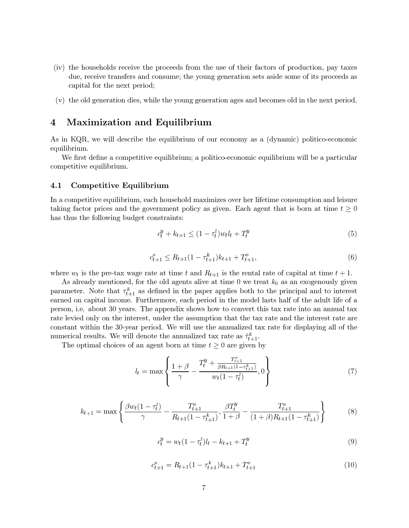- (iv) the households receive the proceeds from the use of their factors of production, pay taxes due, receive transfers and consume; the young generation sets aside some of its proceeds as capital for the next period;
- (v) the old generation dies, while the young generation ages and becomes old in the next period.

# **Maximization and Equilibrium** 4

As in KQR, we will describe the equilibrium of our economy as a (dynamic) politico-economic equilibrium.

We first define a competitive equilibrium; a politico-economic equilibrium will be a particular competitive equilibrium.

#### 4.1 Competitive Equilibrium

In a competitive equilibrium, each household maximizes over her lifetime consumption and leisure taking factor prices and the government policy as given. Each agent that is born at time  $t \geq 0$ has thus the following budget constraints:

$$
c_t^y + k_{t+1} \le (1 - \tau_t^l) w_t l_t + T_t^y \tag{5}
$$

$$
c_{t+1}^o \le R_{t+1}(1 - \tau_{t+1}^k)k_{t+1} + T_{t+1}^o,\tag{6}
$$

where  $w_t$  is the pre-tax wage rate at time t and  $R_{t+1}$  is the rental rate of capital at time  $t+1$ .

As already mentioned, for the old agents alive at time 0 we treat  $k_0$  as an exogenously given parameter. Note that  $\tau_{t+1}^k$  as defined in the paper applies both to the principal and to interest earned on capital income. Furthermore, each period in the model lasts half of the adult life of a person, i.e. about 30 years. The appendix shows how to convert this tax rate into an annual tax rate levied only on the interest, under the assumption that the tax rate and the interest rate are constant within the 30-year period. We will use the annualized tax rate for displaying all of the numerical results. We will denote the annualized tax rate as  $\hat{\tau}_{t+1}^k$ .

The optimal choices of an agent born at time  $t \geq 0$  are given by

$$
l_{t} = \max\left\{\frac{1+\beta}{\gamma} - \frac{T_{t}^{y} + \frac{T_{t+1}^{z}}{\beta R_{t+1}(1-\tau_{t+1}^{k})}}{w_{t}(1-\tau_{t}^{l})}, 0\right\}
$$
(7)

$$
k_{t+1} = \max\left\{\frac{\beta w_t(1 - \tau_t^l)}{\gamma} - \frac{T_{t+1}^o}{R_{t+1}(1 - \tau_{t+1}^k)}, \frac{\beta T_t^y}{1 + \beta} - \frac{T_{t+1}^o}{(1 + \beta)R_{t+1}(1 - \tau_{t+1}^k)}\right\}
$$
(8)

$$
c_t^y = w_t (1 - \tau_t^l) l_t - k_{t+1} + T_t^y \tag{9}
$$

$$
c_{t+1}^o = R_{t+1}(1 - \tau_{t+1}^k)k_{t+1} + T_{t+1}^o \tag{10}
$$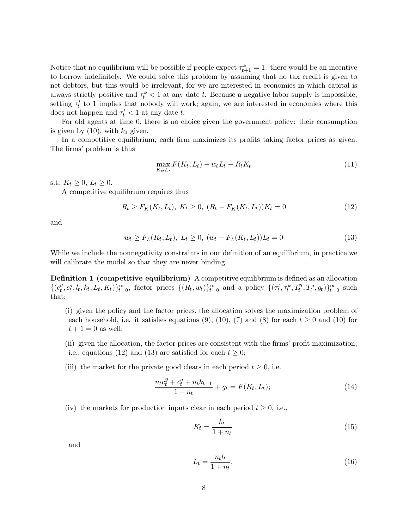Notice that no equilibrium will be possible if people expect  $\tau_{t+1}^k = 1$ : there would be an incentive to borrow indefinitely. We could solve this problem by assuming that no tax credit is given to net debtors, but this would be irrelevant, for we are interested in economies in which capital is always strictly positive and  $\tau_t^k < 1$  at any date t. Because a negative labor supply is impossible, setting  $\tau_t^l$  to 1 implies that nobody will work; again, we are interested in economies where this does not happen and  $\tau_t^l < 1$  at any date t.

For old agents at time 0, there is no choice given the government policy: their consumption is given by  $(10)$ , with  $k_0$  given.

In a competitive equilibrium, each firm maximizes its profits taking factor prices as given. The firms' problem is thus

$$
\max_{K_t, L_t} F(K_t, L_t) - w_t L_t - R_t K_t \tag{11}
$$

s.t.  $K_t \geq 0, L_t \geq 0.$ 

A competitive equilibrium requires thus

$$
R_t \ge F_K(K_t, L_t), \ K_t \ge 0, \ (R_t - F_K(K_t, L_t))K_t = 0 \tag{12}
$$

and

$$
w_t \ge F_L(K_t, L_t), \ L_t \ge 0, \ (w_t - F_L(K_t, L_t))L_t = 0 \tag{13}
$$

While we include the nonnegativity constraints in our definition of an equilibrium, in practice we will calibrate the model so that they are never binding.

**Definition 1 (competitive equilibrium)** A competitive equilibrium is defined as an allocation  $\{(c_t^y, c_t^o, l_t, k_t, L_t, K_t)\}_{t=0}^{\infty}$ , factor prices  $\{(R_t, w_t)\}_{t=0}^{\infty}$  and a policy  $\{(\tau_t^l, \tau_t^k, T_t^y, T_t^o, g_t)\}_{t=0}^{\infty}$  such that:

- (i) given the policy and the factor prices, the allocation solves the maximization problem of each household, i.e. it satisfies equations (9), (10), (7) and (8) for each  $t \ge 0$  and (10) for  $t+1=0$  as well:
- (ii) given the allocation, the factor prices are consistent with the firms' profit maximization, i.e., equations (12) and (13) are satisfied for each  $t \geq 0$ ;
- (iii) the market for the private good clears in each period  $t \geq 0$ , i.e.

$$
\frac{n_t c_t^y + c_t^o + n_t k_{t+1}}{1 + n_t} + g_t = F(K_t, L_t);
$$
\n(14)

(iv) the markets for production inputs clear in each period  $t \geq 0$ , i.e.,

$$
K_t = \frac{k_t}{1 + n_t} \tag{15}
$$

and

$$
L_t = \frac{n_t l_t}{1 + n_t}.\tag{16}
$$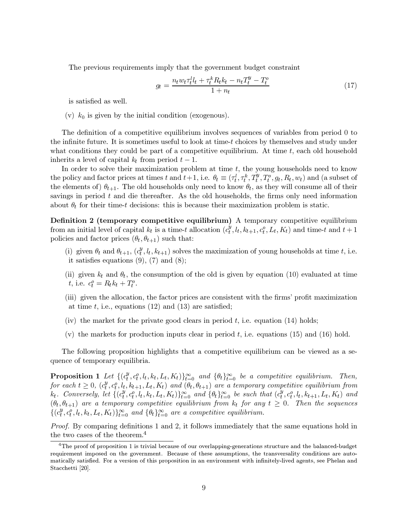The previous requirements imply that the government budget constraint

$$
g_t = \frac{n_t w_t \tau_t^l l_t + \tau_t^k R_t k_t - n_t T_t^y - T_t^o}{1 + n_t} \tag{17}
$$

is satisfied as well.

(v)  $k_0$  is given by the initial condition (exogenous).

The definition of a competitive equilibrium involves sequences of variables from period 0 to the infinite future. It is sometimes useful to look at time-t choices by themselves and study under what conditions they could be part of a competitive equilibrium. At time  $t$ , each old household inherits a level of capital  $k_t$  from period  $t-1$ .

In order to solve their maximization problem at time  $t$ , the young households need to know the policy and factor prices at times t and  $t+1$ , i.e.  $\theta_t \equiv (\tau_t^l, \tau_t^k, T_t^y, T_t^o, g_t, R_t, w_t)$  and (a subset of the elements of)  $\theta_{t+1}$ . The old households only need to know  $\theta_t$ , as they will consume all of their savings in period  $t$  and die thereafter. As the old households, the firms only need information about  $\theta_t$  for their time-t decisions: this is because their maximization problem is static.

**Definition 2 (temporary competitive equilibrium)** A temporary competitive equilibrium from an initial level of capital  $k_t$  is a time-t allocation  $(c_t^y, l_t, k_{t+1}, c_t^o, L_t, K_t)$  and time-t and  $t+1$ policies and factor prices  $(\theta_t, \theta_{t+1})$  such that:

- (i) given  $\theta_t$  and  $\theta_{t+1}$ ,  $(c_t^y, l_t, k_{t+1})$  solves the maximization of young households at time t, i.e. it satisfies equations  $(9)$ ,  $(7)$  and  $(8)$ ;
- (ii) given  $k_t$  and  $\theta_t$ , the consumption of the old is given by equation (10) evaluated at time *t*, i.e.  $c_t^o = R_t k_t + T_t^o$ .
- (iii) given the allocation, the factor prices are consistent with the firms' profit maximization at time  $t$ , i.e., equations (12) and (13) are satisfied;
- (iv) the market for the private good clears in period  $t$ , i.e. equation (14) holds;
- (v) the markets for production inputs clear in period t, i.e. equations  $(15)$  and  $(16)$  hold.

The following proposition highlights that a competitive equilibrium can be viewed as a sequence of temporary equilibria.

**Proposition 1** Let  $\{(c_t^y, c_t^o, l_t, k_t, L_t, K_t)\}_{t=0}^{\infty}$  and  $\{\theta_t\}_{t=0}^{\infty}$  be a competitive equilibrium. Then, for each  $t \geq 0$ ,  $(c_t^y, c_t^o, l_t, k_{t+1}, L_t, K_t)$  and  $(\theta_t, \theta_{t+1})$  are a temporary competitive equilibrium from  $k_t$ . Conversely, let  $\{(c_t^y, c_t^o, l_t, k_t, L_t, K_t)\}_{t=0}^{\infty}$  and  $\{\theta_t\}_{t=0}^{\infty}$  be such that  $(c_t^y, c_t^o, l_t, k_{t+1}, L_t, K_t)$  and  $(\theta_t, \theta_{t+1})$  are a temporary competitive equilibrium from  $k_t$  for any  $t \geq 0$ . Then the sequences  $\{(c_t^y, c_t^o, l_t, k_t, L_t, K_t)\}_{t=0}^{\infty}$  and  $\{\theta_t\}_{t=0}^{\infty}$  are a competitive equilibrium.

*Proof.* By comparing definitions 1 and 2, it follows immediately that the same equations hold in the two cases of the theorem.<sup>4</sup>

 ${}^{4}$ The proof of proposition 1 is trivial because of our overlapping-generations structure and the balanced-budget requirement imposed on the government. Because of these assumptions, the transversality conditions are automatically satisfied. For a version of this proposition in an environment with infinitely-lived agents, see Phelan and Stacchetti [20].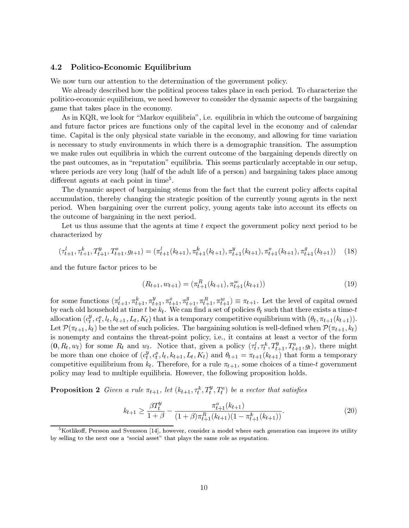#### 4.2 Politico-Economic Equilibrium

We now turn our attention to the determination of the government policy.

We already described how the political process takes place in each period. To characterize the politico-economic equilibrium, we need however to consider the dynamic aspects of the bargaining game that takes place in the economy.

As in KQR, we look for "Markov equilibria", i.e. equilibria in which the outcome of bargaining and future factor prices are functions only of the capital level in the economy and of calendar time. Capital is the only physical state variable in the economy, and allowing for time variation is necessary to study environments in which there is a demographic transition. The assumption we make rules out equilibria in which the current outcome of the bargaining depends directly on the past outcomes, as in "reputation" equilibria. This seems particularly acceptable in our setup, where periods are very long (half of the adult life of a person) and bargaining takes place among different agents at each point in time<sup>5</sup>.

The dynamic aspect of bargaining stems from the fact that the current policy affects capital accumulation, thereby changing the strategic position of the currently young agents in the next period. When bargaining over the current policy, young agents take into account its effects on the outcome of bargaining in the next period.

Let us thus assume that the agents at time  $t$  expect the government policy next period to be characterized by

$$
(\tau_{t+1}^l, \tau_{t+1}^k, T_{t+1}^y, T_{t+1}^o, g_{t+1}) = (\pi_{t+1}^l(k_{t+1}), \pi_{t+1}^k(k_{t+1}), \pi_{t+1}^y(k_{t+1}), \pi_{t+1}^o(k_{t+1}), \pi_{t+1}^g(k_{t+1})) \tag{18}
$$

and the future factor prices to be

$$
(R_{t+1}, w_{t+1}) = (\pi_{t+1}^R(k_{t+1}), \pi_{t+1}^w(k_{t+1}))
$$
\n(19)

for some functions  $(\pi_{t+1}^l, \pi_{t+1}^k, \pi_{t+1}^y, \pi_{t+1}^o, \pi_{t+1}^g, \pi_{t+1}^R, \pi_{t+1}^w) \equiv \pi_{t+1}$ . Let the level of capital owned by each old household at time t be  $k_t$ . We can find a set of policies  $\theta_t$  such that there exists a time-t allocation  $(c_t^y, c_t^o, l_t, k_{t+1}, L_t, K_t)$  that is a temporary competitive equilibrium with  $(\theta_t, \pi_{t+1}(k_{t+1}))$ . Let  $\mathcal{P}(\pi_{t+1}, k_t)$  be the set of such policies. The bargaining solution is well-defined when  $\mathcal{P}(\pi_{t+1}, k_t)$ is nonempty and contains the threat-point policy, i.e., it contains at least a vector of the form  $(0, R_t, w_t)$  for some  $R_t$  and  $w_t$ . Notice that, given a policy  $(\tau_t^l, \tau_t^k, T_{t+1}^y, T_{t+1}^o, g_t)$ , there might be more than one choice of  $(c_t^y, c_t^o, l_t, k_{t+1}, L_t, K_t)$  and  $\theta_{t+1} = \pi_{t+1}(k_{t+1})$  that form a temporary competitive equilibrium from  $k_t$ . Therefore, for a rule  $\pi_{t+1}$ , some choices of a time-t government policy may lead to multiple equilibria. However, the following proposition holds.

**Proposition 2** Given a rule  $\pi_{t+1}$ , let  $(k_{t+1}, \tau_t^k, T_t^y, T_t^o)$  be a vector that satisfies

$$
k_{t+1} \ge \frac{\beta T_t^y}{1+\beta} - \frac{\pi_{t+1}^o(k_{t+1})}{(1+\beta)\pi_{t+1}^R(k_{t+1})(1-\pi_{t+1}^k(k_{t+1}))}.
$$
\n
$$
(20)
$$

<sup>&</sup>lt;sup>5</sup>Kotlikoff, Persson and Svensson [14], however, consider a model where each generation can improve its utility by selling to the next one a "social asset" that plays the same role as reputation.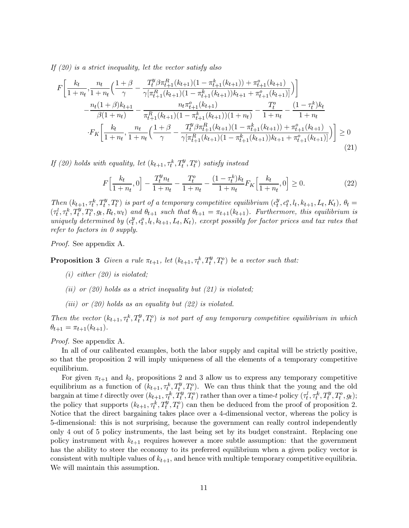If  $(20)$  is a strict inequality, let the vector satisfy also

$$
F\left[\frac{k_t}{1+n_t}, \frac{n_t}{1+n_t}\left(\frac{1+\beta}{\gamma} - \frac{T_t^y \beta \pi_{t+1}^R(k_{t+1})(1-\pi_{t+1}^k(k_{t+1})) + \pi_{t+1}^o(k_{t+1})}{\gamma[\pi_{t+1}^R(k_{t+1})(1-\pi_{t+1}^k(k_{t+1}))k_{t+1} + \pi_{t+1}^o(k_{t+1})]} \right)\right] - \frac{n_t(1+\beta)k_{t+1}}{\beta(1+n_t)} - \frac{n_t\pi_{t+1}^o(k_{t+1})(1-\pi_{t+1}^k(k_{t+1}))}{\pi_{t+1}^R(k_{t+1})(1-\pi_{t+1}^k(k_{t+1}))(1+n_t)} - \frac{T_t^o}{1+n_t} - \frac{(1-\tau_t^k)k_t}{1+n_t} \cdot F_K\left[\frac{k_t}{1+n_t}, \frac{n_t}{1+n_t}\left(\frac{1+\beta}{\gamma} - \frac{T_t^y \beta \pi_{t+1}^R(k_{t+1})(1-\pi_{t+1}^k(k_{t+1})) + \pi_{t+1}^o(k_{t+1})}{\gamma[\pi_{t+1}^R(k_{t+1})(1-\pi_{t+1}^k(k_{t+1}))k_{t+1} + \pi_{t+1}^o(k_{t+1})]} \right)\right] \ge 0
$$
\n(21)

If (20) holds with equality, let  $(k_{t+1}, \tau_t^k, T_t^y, T_t^o)$  satisfy instead

$$
F\left[\frac{k_t}{1+n_t}, 0\right] - \frac{T_t^y n_t}{1+n_t} - \frac{T_t^o}{1+n_t} - \frac{(1-\tau_t^k)k_t}{1+n_t} F_K\left[\frac{k_t}{1+n_t}, 0\right] \ge 0. \tag{22}
$$

Then  $(k_{t+1}, \tau_t^k, T_t^y, T_t^o)$  is part of a temporary competitive equilibrium  $(c_t^y, c_t^o, l_t, k_{t+1}, L_t, K_t)$ ,  $\theta_t =$  $(\tau_t^l, \tau_t^k, T_t^y, T_t^o, g_t, R_t, w_t)$  and  $\theta_{t+1}$  such that  $\theta_{t+1} = \pi_{t+1}(k_{t+1})$ . Furthermore, this equilibrium is uniquely determined by  $(c_t^y, c_t^o, l_t, k_{t+1}, L_t, K_t)$ , except possibly for factor prices and tax rates that refer to factors in  $\theta$  supply.

*Proof.* See appendix A.

**Proposition 3** Given a rule  $\pi_{t+1}$ , let  $(k_{t+1}, \tau_t^k, T_t^y, T_t^o)$  be a vector such that:

- $(i)$  either  $(20)$  is violated;
- (ii) or (20) holds as a strict inequality but  $(21)$  is violated;
- (iii) or (20) holds as an equality but (22) is violated.

Then the vector  $(k_{t+1}, \tau_t^k, T_t^y, T_t^o)$  is not part of any temporary competitive equilibrium in which  $\theta_{t+1} = \pi_{t+1}(k_{t+1}).$ 

*Proof.* See appendix A.

In all of our calibrated examples, both the labor supply and capital will be strictly positive, so that the proposition 2 will imply uniqueness of all the elements of a temporary competitive equilibrium.

For given  $\pi_{t+1}$  and  $k_t$ , propositions 2 and 3 allow us to express any temporary competitive equilibrium as a function of  $(k_{t+1}, \tau_t^k, T_t^y, T_t^o)$ . We can thus think that the young and the old bargain at time t directly over  $(k_{t+1}, \tau_t^k, T_t^y, T_t^o)$  rather than over a time-t policy  $(\tau_t^l, \tau_t^k, T_t^y, T_t^o, g_t)$ ; the policy that supports  $(k_{t+1}, \tau_t^k, T_t^y, T_t^o)$  can then be deduced from the proof of proposition 2. Notice that the direct bargaining takes place over a 4-dimensional vector, whereas the policy is 5-dimensional: this is not surprising, because the government can really control independently only 4 out of 5 policy instruments, the last being set by its budget constraint. Replacing one policy instrument with  $k_{t+1}$  requires however a more subtle assumption: that the government has the ability to steer the economy to its preferred equilibrium when a given policy vector is consistent with multiple values of  $k_{t+1}$ , and hence with multiple temporary competitive equilibria. We will maintain this assumption.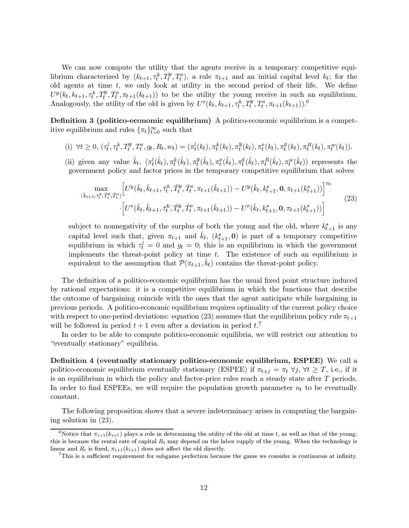We can now compute the utility that the agents receive in a temporary competitive equilibrium characterized by  $(k_{t+1}, \tau_t^k, T_t^y, T_t^o)$ , a rule  $\pi_{t+1}$  and an initial capital level  $k_t$ ; for the old agents at time  $t$ , we only look at utility in the second period of their life. We define  $U^y(k_t, k_{t+1}, \tau_t^k, T_t^y, T_t^o, \pi_{t+1}(k_{t+1}))$  to be the utility the young receive in such an equilibrium. Analogously, the utility of the old is given by  $U^{o}(k_t, k_{t+1}, \tau_t^k, T_t^y, T_t^o, \pi_{t+1}(k_{t+1}))$ .<sup>6</sup>

**Definition 3 (politico-economic equilibrium)** A politico-economic equilibrium is a competitive equilibrium and rules  $\{\pi_t\}_{t=0}^{\infty}$  such that

- (i)  $\forall t \geq 0$ ,  $(\tau_t^l, \tau_t^k, T_t^y, T_t^o, g_t, R_t, w_t) = (\pi_t^l(k_t), \pi_t^k(k_t), \pi_t^y(k_t), \pi_t^g(k_t), \pi_t^g(k_t), \pi_t^h(k_t), \pi_t^w(k_t)).$
- (ii) given any value  $\hat{k}_t$ ,  $(\pi_t^l(\hat{k}_t), \pi_t^k(\hat{k}_t), \pi_t^y(\hat{k}_t), \pi_t^g(\hat{k}_t), \pi_t^g(\hat{k}_t), \pi_t^R(\hat{k}_t), \pi_t^w(\hat{k}_t))$  represents the government policy and factor prices in the temporary competitive equilibrium that solves

$$
\max_{(\hat{k}_{t+1}, \hat{\tau}_t^k, \hat{T}_t^y, \hat{T}_t^c)} \left[ U^y(\hat{k}_t, \hat{k}_{t+1}, \hat{\tau}_t^k, \hat{T}_t^y, \hat{T}_t^o, \pi_{t+1}(\hat{k}_{t+1})) - U^y(\hat{k}_t, k_{t+1}^*, \mathbf{0}, \pi_{t+1}(k_{t+1}^*)) \right]^{n_t} \cdot \left[ U^o(\hat{k}_t, \hat{k}_{t+1}, \hat{\tau}_t^k, \hat{T}_t^y, \hat{T}_t^o, \pi_{t+1}(\hat{k}_{t+1})) - U^o(\hat{k}_t, k_{t+1}^*, \mathbf{0}, \pi_{t+1}(k_{t+1}^*)) \right] \tag{23}
$$

subject to nonnegativity of the surplus of both the young and the old, where  $k_{t+1}^*$  is any capital level such that, given  $\pi_{t+1}$  and  $k_t$ ,  $(k_{t+1}^*, 0)$  is part of a temporary competitive equilibrium in which  $\tau_t^l = 0$  and  $g_t = 0$ ; this is an equilibrium in which the government implements the threat-point policy at time  $t$ . The existence of such an equilibrium is equivalent to the assumption that  $\mathcal{P}(\pi_{t+1}, k_t)$  contains the threat-point policy.

The definition of a politico-economic equilibrium has the usual fixed point structure induced by rational expectations: it is a competitive equilibrium in which the functions that describe the outcome of bargaining coincide with the ones that the agent anticipate while bargaining in previous periods. A politico-economic equilibrium requires optimality of the current policy choice with respect to one-period deviations: equation (23) assumes that the equilibrium policy rule  $\pi_{t+1}$ will be followed in period  $t + 1$  even after a deviation in period  $t^{\dagger}$ .

In order to be able to compute politico-economic equilibria, we will restrict our attention to "eventually stationary" equilibria.

**Definition 4 (eventually stationary politico-economic equilibrium, ESPEE)** We call a politico-economic equilibrium eventually stationary (ESPEE) if  $\pi_{t+j} = \pi_t \ \forall j, \forall t \geq T$ , i.e., if it is an equilibrium in which the policy and factor-price rules reach a steady state after  $T$  periods. In order to find ESPEEs, we will require the population growth parameter  $n_t$  to be eventually constant.

The following proposition shows that a severe indeterminacy arises in computing the bargaining solution in  $(23)$ .

<sup>&</sup>lt;sup>6</sup>Notice that  $\pi_{t+1}(k_{t+1})$  plays a role in determining the utility of the old at time t, as well as that of the young: this is because the rental rate of capital  $R_t$  may depend on the labor supply of the young. When the technology is linear and  $R_t$  is fixed,  $\pi_{t+1}(k_{t+1})$  does not affect the old directly.

 $\sigma$ This is a sufficient requirement for subgame perfection because the game we consider is continuous at infinity.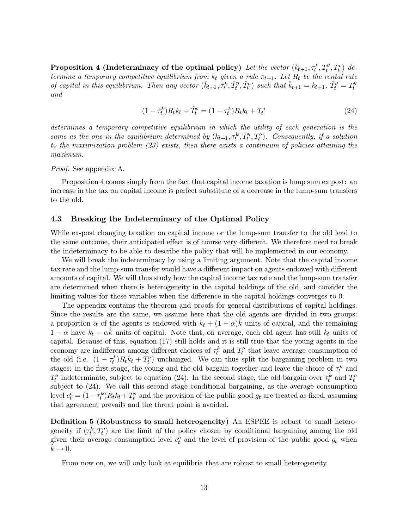**Proposition 4 (Indeterminacy of the optimal policy)** Let the vector  $(k_{t+1}, \tau_t^k, T_t^y, T_t^o)$  determine a temporary competitive equilibrium from  $k_t$  given a rule  $\pi_{t+1}$ . Let  $R_t$  be the rental rate of capital in this equilibrium. Then any vector  $(\hat{k}_{t+1}, \hat{\tau}_t^k, \hat{T}_t^y, \hat{T}_t^o)$  such that  $\hat{k}_{t+1} = k_{t+1}, \hat{T}_t^y = T_t^y$ and

$$
(1 - \hat{\tau}_t^k) R_t k_t + \hat{T}_t^o = (1 - \tau_t^k) R_t k_t + T_t^o \tag{24}
$$

determines a temporary competitive equilibrium in which the utility of each generation is the same as the one in the equilibrium determined by  $(k_{t+1}, \tau_t^k, T_t^y, T_t^o)$ . Consequently, if a solution to the maximization problem  $(23)$  exists, then there exists a continuum of policies attaining the  $maximum.$ 

*Proof.* See appendix A.

Proposition 4 comes simply from the fact that capital income taxation is lump sum ex post: an increase in the tax on capital income is perfect substitute of a decrease in the lump-sum transfers to the old.

#### 4.3 Breaking the Indeterminacy of the Optimal Policy

While ex-post changing taxation on capital income or the lump-sum transfer to the old lead to the same outcome, their anticipated effect is of course very different. We therefore need to break the indeterminacy to be able to describe the policy that will be implemented in our economy.

We will break the indeterminacy by using a limiting argument. Note that the capital income tax rate and the lump-sum transfer would have a different impact on agents endowed with different amounts of capital. We will thus study how the capital income tax rate and the lump-sum transfer are determined when there is heterogeneity in the capital holdings of the old, and consider the limiting values for these variables when the difference in the capital holdings converges to 0.

The appendix contains the theorem and proofs for general distributions of capital holdings. Since the results are the same, we assume here that the old agents are divided in two groups: a proportion  $\alpha$  of the agents is endowed with  $k_t + (1 - \alpha)k$  units of capital, and the remaining  $1 - \alpha$  have  $k_t - \alpha k$  units of capital. Note that, on average, each old agent has still  $k_t$  units of capital. Because of this, equation (17) still holds and it is still true that the young agents in the economy are indifferent among different choices of  $\tau_t^k$  and  $T_t^o$  that leave average consumption of the old (i.e.  $(1 - \tau_t^k) R_t k_t + T_t^o$ ) unchanged. We can thus split the bargaining problem in two stages: in the first stage, the young and the old bargain together and leave the choice of  $\tau_t^k$  and  $T_t^o$  indeterminate, subject to equation (24). In the second stage, the old bargain over  $\tau_t^k$  and  $T_t^o$ subject to (24). We call this second stage conditional bargaining, as the average consumption level  $c_t^o = (1 - \tau_t^k) R_t k_t + T_t^o$  and the provision of the public good  $g_t$  are treated as fixed, assuming that agreement prevails and the threat point is avoided.

**Definition 5 (Robustness to small heterogeneity)** An ESPEE is robust to small heterogeneity if  $(\tau_t^k, T_t^o)$  are the limit of the policy chosen by conditional bargaining among the old given their average consumption level  $c_t^o$  and the level of provision of the public good  $g_t$  when  $k\to 0$ .

From now on, we will only look at equilibria that are robust to small heterogeneity.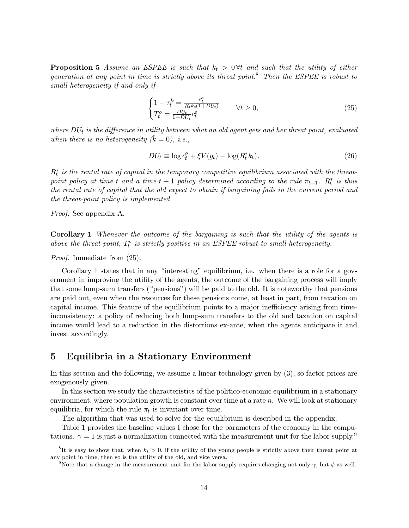**Proposition 5** Assume an ESPEE is such that  $k_t > 0$   $\forall t$  and such that the utility of either generation at any point in time is strictly above its threat point.<sup>8</sup> Then the ESPEE is robust to small heterogeneity if and only if

$$
\begin{cases}\n1 - \tau_t^k = \frac{c_t^o}{R_t k_t (1 + DU_t)} \\
T_t^o = \frac{DU_t}{1 + DU_t} c_t^o\n\end{cases} \quad \forall t \ge 0,
$$
\n(25)

where  $DU_t$  is the difference in utility between what an old agent gets and her threat point, evaluated when there is no heterogeneity  $(k = 0)$ , i.e.,

$$
DU_t \equiv \log c_t^o + \xi V(g_t) - \log(R_t^* k_t). \tag{26}
$$

 $R_t^*$  is the rental rate of capital in the temporary competitive equilibrium associated with the threatpoint policy at time t and a time-t + 1 policy determined according to the rule  $\pi_{t+1}$ .  $R_t^*$  is thus the rental rate of capital that the old expect to obtain if bargaining fails in the current period and the threat-point policy is implemented.

*Proof.* See appendix A.

**Corollary 1** Whenever the outcome of the bargaining is such that the utility of the agents is above the threat point,  $T_f^o$  is strictly positive in an ESPEE robust to small heterogeneity.

*Proof.* Immediate from (25).

Corollary 1 states that in any "interesting" equilibrium, i.e. when there is a role for a government in improving the utility of the agents, the outcome of the bargaining process will imply that some lump-sum transfers ("pensions") will be paid to the old. It is noteworthy that pensions are paid out, even when the resources for these pensions come, at least in part, from taxation on capital income. This feature of the equilibrium points to a major inefficiency arising from timeinconsistency: a policy of reducing both lump-sum transfers to the old and taxation on capital income would lead to a reduction in the distortions ex-ante, when the agents anticipate it and invest accordingly.

# $\overline{5}$ Equilibria in a Stationary Environment

In this section and the following, we assume a linear technology given by  $(3)$ , so factor prices are exogenously given.

In this section we study the characteristics of the politico-economic equilibrium in a stationary environment, where population growth is constant over time at a rate  $n$ . We will look at stationary equilibria, for which the rule  $\pi_t$  is invariant over time.

The algorithm that was used to solve for the equilibrium is described in the appendix.

Table 1 provides the baseline values I chose for the parameters of the economy in the computations.  $\gamma = 1$  is just a normalization connected with the measurement unit for the labor supply.<sup>9</sup>

<sup>&</sup>lt;sup>8</sup>It is easy to show that, when  $k_t > 0$ , if the utility of the young people is strictly above their threat point at any point in time, then so is the utility of the old, and vice versa.

<sup>&</sup>lt;sup>9</sup>Note that a change in the measurement unit for the labor supply requires changing not only  $\gamma$ , but  $\phi$  as well.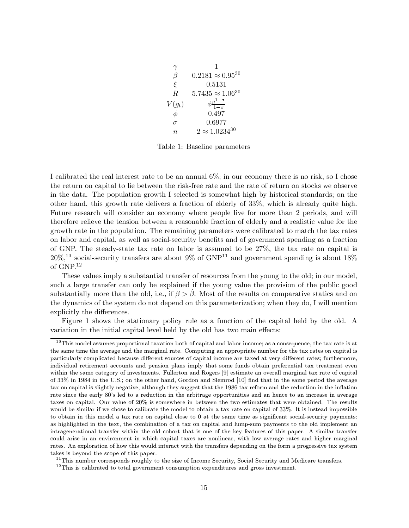$$
\begin{array}{ccc}\n\gamma & 1 \\
\beta & 0.2181 \approx 0.95^{30} \\
\xi & 0.5131 \\
R & 5.7435 \approx 1.06^{30} \\
V(g_t) & \phi_{\frac{q^{1-\sigma}}{1-\sigma}} \\
\phi & 0.497 \\
\sigma & 0.6977 \\
n & 2 \approx 1.0234^{30}\n\end{array}
$$

Table 1: Baseline parameters

I calibrated the real interest rate to be an annual  $6\%$ ; in our economy there is no risk, so I chose the return on capital to lie between the risk-free rate and the rate of return on stocks we observe in the data. The population growth I selected is somewhat high by historical standards; on the other hand, this growth rate delivers a fraction of elderly of 33%, which is already quite high. Future research will consider an economy where people live for more than 2 periods, and will therefore relieve the tension between a reasonable fraction of elderly and a realistic value for the growth rate in the population. The remaining parameters were calibrated to match the tax rates on labor and capital, as well as social-security benefits and of government spending as a fraction of GNP. The steady-state tax rate on labor is assumed to be  $27\%$ , the tax rate on capital is  $20\%$ ,<sup>10</sup> social-security transfers are about 9% of GNP<sup>11</sup> and government spending is about 18% of  $GNP<sup>12</sup>$ 

These values imply a substantial transfer of resources from the young to the old; in our model, such a large transfer can only be explained if the young value the provision of the public good substantially more than the old, i.e., if  $\beta > \beta$ . Most of the results on comparative statics and on the dynamics of the system do not depend on this parameterization; when they do, I will mention explicitly the differences.

Figure 1 shows the stationary policy rule as a function of the capital held by the old. A variation in the initial capital level held by the old has two main effects:

 $11$ This number corresponds roughly to the size of Income Security, Social Security and Medicare transfers.

<sup>&</sup>lt;sup>10</sup>This model assumes proportional taxation both of capital and labor income; as a consequence, the tax rate is at the same time the average and the marginal rate. Computing an appropriate number for the tax rates on capital is particularly complicated because different sources of capital income are taxed at very different rates; furthermore, individual retirement accounts and pension plans imply that some funds obtain preferential tax treatment even within the same category of investments. Fullerton and Rogers [9] estimate an overall marginal tax rate of capital of 33% in 1984 in the U.S.; on the other hand, Gordon and Slemrod [10] find that in the same period the average tax on capital is slightly negative, although they suggest that the 1986 tax reform and the reduction in the inflation rate since the early 80's led to a reduction in the arbitrage opportunities and an hence to an increase in average taxes on capital. Our value of 20% is somewhere in between the two estimates that were obtained. The results would be similar if we chose to calibrate the model to obtain a tax rate on capital of 33%. It is instead impossible to obtain in this model a tax rate on capital close to  $0$  at the same time as significant social-security payments: as highlighted in the text, the combination of a tax on capital and lump-sum payments to the old implement an intragenerational transfer within the old cohort that is one of the key features of this paper. A similar transfer could arise in an environment in which capital taxes are nonlinear, with low average rates and higher marginal rates. An exploration of how this would interact with the transfers depending on the form a progressive tax system takes is beyond the scope of this paper.

 $^{12}$ This is calibrated to total government consumption expenditures and gross investment.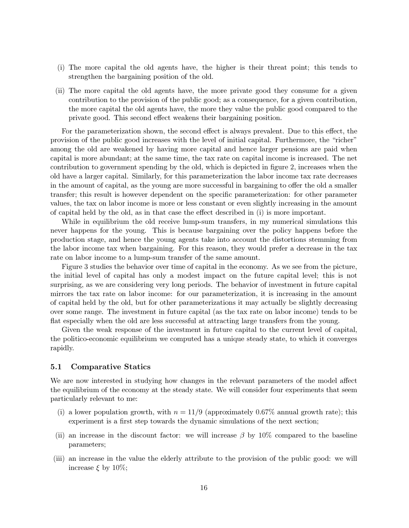- (i) The more capital the old agents have, the higher is their threat point; this tends to strengthen the bargaining position of the old.
- (ii) The more capital the old agents have, the more private good they consume for a given contribution to the provision of the public good; as a consequence, for a given contribution, the more capital the old agents have, the more they value the public good compared to the private good. This second effect weakens their bargaining position.

For the parameterization shown, the second effect is always prevalent. Due to this effect, the provision of the public good increases with the level of initial capital. Furthermore, the "richer" among the old are weakened by having more capital and hence larger pensions are paid when capital is more abundant; at the same time, the tax rate on capital income is increased. The net contribution to government spending by the old, which is depicted in figure 2, increases when the old have a larger capital. Similarly, for this parameterization the labor income tax rate decreases in the amount of capital, as the young are more successful in bargaining to offer the old a smaller transfer; this result is however dependent on the specific parameterization: for other parameter values, the tax on labor income is more or less constant or even slightly increasing in the amount of capital held by the old, as in that case the effect described in (i) is more important.

While in equilibrium the old receive lump-sum transfers, in my numerical simulations this never happens for the young. This is because bargaining over the policy happens before the production stage, and hence the young agents take into account the distortions stemming from the labor income tax when bargaining. For this reason, they would prefer a decrease in the tax rate on labor income to a lump-sum transfer of the same amount.

Figure 3 studies the behavior over time of capital in the economy. As we see from the picture, the initial level of capital has only a modest impact on the future capital level; this is not surprising, as we are considering very long periods. The behavior of investment in future capital mirrors the tax rate on labor income: for our parameterization, it is increasing in the amount of capital held by the old, but for other parameterizations it may actually be slightly decreasing over some range. The investment in future capital (as the tax rate on labor income) tends to be flat especially when the old are less successful at attracting large transfers from the young.

Given the weak response of the investment in future capital to the current level of capital, the politico-economic equilibrium we computed has a unique steady state, to which it converges rapidly.

#### $5.1$ **Comparative Statics**

We are now interested in studying how changes in the relevant parameters of the model affect the equilibrium of the economy at the steady state. We will consider four experiments that seem particularly relevant to me:

- (i) a lower population growth, with  $n = 11/9$  (approximately 0.67% annual growth rate); this experiment is a first step towards the dynamic simulations of the next section;
- (ii) an increase in the discount factor: we will increase  $\beta$  by 10% compared to the baseline parameters;
- (iii) an increase in the value the elderly attribute to the provision of the public good: we will increase  $\xi$  by 10%;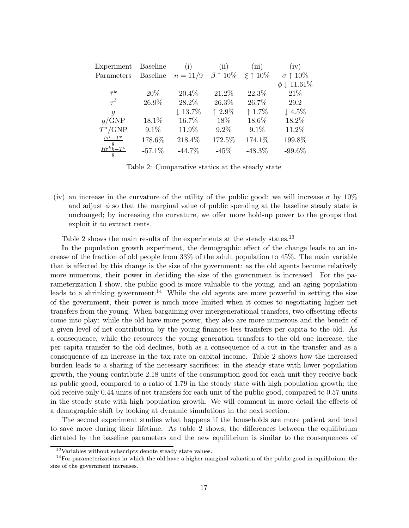| Experiment                                              | <b>Baseline</b> | (i)                 | $\rm (ii)$    | (iii)               | (iv)                       |
|---------------------------------------------------------|-----------------|---------------------|---------------|---------------------|----------------------------|
| Parameters                                              | <b>Baseline</b> | $n = 11/9$          | $\beta$ † 10% | $\xi \uparrow 10\%$ | $\sigma \uparrow 10\%$     |
|                                                         |                 |                     |               |                     | $\phi$ $\downarrow$ 11.61% |
| $\hat{\tau}^k$                                          | 20%             | 20.4%               | 21.2%         | 22.3%               | 21\%                       |
| $\tau^l$                                                | 26.9%           | 28.2%               | 26.3%         | 26.7%               | 29.2                       |
| $\boldsymbol{q}$                                        |                 | $\downarrow 13.7\%$ | $12.9\%$      | $1.7\%$             | $\downarrow 4.5\%$         |
| g/GNP                                                   | 18.1%           | 16.7%               | 18%           | 18.6%               | 18.2%                      |
| $T^o/\text{GNP}$                                        | $9.1\%$         | 11.9%               | $9.2\%$       | $9.1\%$             | 11.2%                      |
| $l\tau^l-T^y$                                           | 178.6%          | 218.4%              | 172.5%        | 174.1%              | 199.8%                     |
| $R\tau^{k}{}_{\mathcal{K} - T^o}^{g}$<br>$\overline{a}$ | $-57.1%$        | $-44.7\%$           | $-45%$        | $-48.3\%$           | $-99.6\%$                  |

Table 2: Comparative statics at the steady state

(iv) an increase in the curvature of the utility of the public good: we will increase  $\sigma$  by 10% and adjust  $\phi$  so that the marginal value of public spending at the baseline steady state is unchanged; by increasing the curvature, we offer more hold-up power to the groups that exploit it to extract rents.

Table 2 shows the main results of the experiments at the steady states.<sup>13</sup>

In the population growth experiment, the demographic effect of the change leads to an increase of the fraction of old people from  $33\%$  of the adult population to  $45\%$ . The main variable that is affected by this change is the size of the government: as the old agents become relatively more numerous, their power in deciding the size of the government is increased. For the parameterization I show, the public good is more valuable to the young, and an aging population leads to a shrinking government.<sup>14</sup> While the old agents are more powerful in setting the size of the government, their power is much more limited when it comes to negotiating higher net transfers from the young. When bargaining over intergenerational transfers, two offsetting effects come into play: while the old have more power, they also are more numerous and the benefit of a given level of net contribution by the young finances less transfers per capita to the old. As a consequence, while the resources the young generation transfers to the old one increase, the per capita transfer to the old declines, both as a consequence of a cut in the transfer and as a consequence of an increase in the tax rate on capital income. Table 2 shows how the increased burden leads to a sharing of the necessary sacrifices: in the steady state with lower population growth, the young contribute 2.18 units of the consumption good for each unit they receive back as public good, compared to a ratio of 1.79 in the steady state with high population growth; the old receive only 0.44 units of net transfers for each unit of the public good, compared to 0.57 units in the steady state with high population growth. We will comment in more detail the effects of a demographic shift by looking at dynamic simulations in the next section.

The second experiment studies what happens if the households are more patient and tend to save more during their lifetime. As table 2 shows, the differences between the equilibrium dictated by the baseline parameters and the new equilibrium is similar to the consequences of

 $13$ Variables without subscripts denote steady state values.

 $14$  For parameterizations in which the old have a higher marginal valuation of the public good in equilibrium, the size of the government increases.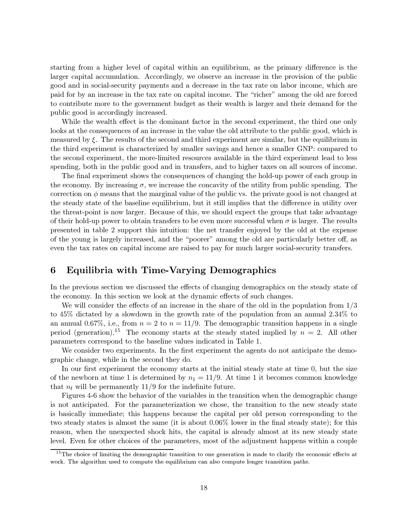starting from a higher level of capital within an equilibrium, as the primary difference is the larger capital accumulation. Accordingly, we observe an increase in the provision of the public good and in social-security payments and a decrease in the tax rate on labor income, which are paid for by an increase in the tax rate on capital income. The "richer" among the old are forced to contribute more to the government budget as their wealth is larger and their demand for the public good is accordingly increased.

While the wealth effect is the dominant factor in the second experiment, the third one only looks at the consequences of an increase in the value the old attribute to the public good, which is measured by  $\xi$ . The results of the second and third experiment are similar, but the equilibrium in the third experiment is characterized by smaller savings and hence a smaller GNP: compared to the second experiment, the more-limited resources available in the third experiment lead to less spending, both in the public good and in transfers, and to higher taxes on all sources of income.

The final experiment shows the consequences of changing the hold-up power of each group in the economy. By increasing  $\sigma$ , we increase the concavity of the utility from public spending. The correction on  $\phi$  means that the marginal value of the public vs. the private good is not changed at the steady state of the baseline equilibrium, but it still implies that the difference in utility over the threat-point is now larger. Because of this, we should expect the groups that take advantage of their hold-up power to obtain transfers to be even more successful when  $\sigma$  is larger. The results presented in table 2 support this intuition: the net transfer enjoyed by the old at the expense of the young is largely increased, and the "poorer" among the old are particularly better off, as even the tax rates on capital income are raised to pay for much larger social-security transfers.

# 6 Equilibria with Time-Varying Demographics

In the previous section we discussed the effects of changing demographics on the steady state of the economy. In this section we look at the dynamic effects of such changes.

We will consider the effects of an increase in the share of the old in the population from  $1/3$ to  $45\%$  dictated by a slowdown in the growth rate of the population from an annual  $2.34\%$  to an annual 0.67%, i.e., from  $n = 2$  to  $n = 11/9$ . The demographic transition happens in a single period (generation).<sup>15</sup> The economy starts at the steady stated implied by  $n = 2$ . All other parameters correspond to the baseline values indicated in Table 1.

We consider two experiments. In the first experiment the agents do not anticipate the demographic change, while in the second they do.

In our first experiment the economy starts at the initial steady state at time 0, but the size of the newborn at time 1 is determined by  $n_1 = 11/9$ . At time 1 it becomes common knowledge that  $n_t$  will be permanently 11/9 for the indefinite future.

Figures 4-6 show the behavior of the variables in the transition when the demographic change is not anticipated. For the parameterization we chose, the transition to the new steady state is basically immediate; this happens because the capital per old person corresponding to the two steady states is almost the same (it is about  $0.06\%$  lower in the final steady state); for this reason, when the unexpected shock hits, the capital is already almost at its new steady state level. Even for other choices of the parameters, most of the adjustment happens within a couple

 $15$ The choice of limiting the demographic transition to one generation is made to clarify the economic effects at work. The algorithm used to compute the equilibrium can also compute longer transition paths.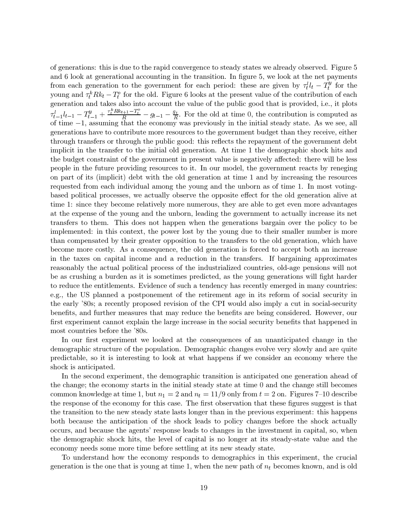of generations: this is due to the rapid convergence to steady states we already observed. Figure 5 and 6 look at generational accounting in the transition. In figure 5, we look at the net payments from each generation to the government for each period: these are given by  $\tau_t^l l_t - T_t^y$  for the young and  $\tau_t^k R k_t - T_t^o$  for the old. Figure 6 looks at the present value of the contribution of each generation and takes also into account the value of the public good that is provided, i.e., it plots  $\tau_{t-1}^l l_{t-1} - T_{t-1}^y + \frac{\tau_t^k R k_{t+1} - T_t^o}{R} - g_{t-1} - \frac{g_t}{R}$ . For the old at time 0, the contribution is computed as of time  $-1$ , assuming that the economy was previously in the initial steady state. As we see, all generations have to contribute more resources to the government budget than they receive, either through transfers or through the public good: this reflects the repayment of the government debt implicit in the transfer to the initial old generation. At time 1 the demographic shock hits and the budget constraint of the government in present value is negatively affected: there will be less people in the future providing resources to it. In our model, the government reacts by reneging on part of its (implicit) debt with the old generation at time 1 and by increasing the resources requested from each individual among the young and the unborn as of time 1. In most votingbased political processes, we actually observe the opposite effect for the old generation alive at time 1: since they become relatively more numerous, they are able to get even more advantages at the expense of the young and the unborn, leading the government to actually increase its net transfers to them. This does not happen when the generations bargain over the policy to be implemented: in this context, the power lost by the young due to their smaller number is more than compensated by their greater opposition to the transfers to the old generation, which have become more costly. As a consequence, the old generation is forced to accept both an increase in the taxes on capital income and a reduction in the transfers. If bargaining approximates reasonably the actual political process of the industrialized countries, old-age pensions will not be as crushing a burden as it is sometimes predicted, as the young generations will fight harder to reduce the entitlements. Evidence of such a tendency has recently emerged in many countries: e.g., the US planned a postponement of the retirement age in its reform of social security in the early '80s; a recently proposed revision of the CPI would also imply a cut in social-security benefits, and further measures that may reduce the benefits are being considered. However, our first experiment cannot explain the large increase in the social security benefits that happened in most countries before the '80s.

In our first experiment we looked at the consequences of an unanticipated change in the demographic structure of the population. Demographic changes evolve very slowly and are quite predictable, so it is interesting to look at what happens if we consider an economy where the shock is anticipated.

In the second experiment, the demographic transition is anticipated one generation ahead of the change; the economy starts in the initial steady state at time  $0$  and the change still becomes common knowledge at time 1, but  $n_1 = 2$  and  $n_t = 11/9$  only from  $t = 2$  on. Figures 7-10 describe the response of the economy for this case. The first observation that these figures suggest is that the transition to the new steady state lasts longer than in the previous experiment: this happens both because the anticipation of the shock leads to policy changes before the shock actually occurs, and because the agents' response leads to changes in the investment in capital, so, when the demographic shock hits, the level of capital is no longer at its steady-state value and the economy needs some more time before settling at its new steady state.

To understand how the economy responds to demographics in this experiment, the crucial generation is the one that is young at time 1, when the new path of  $n_t$  becomes known, and is old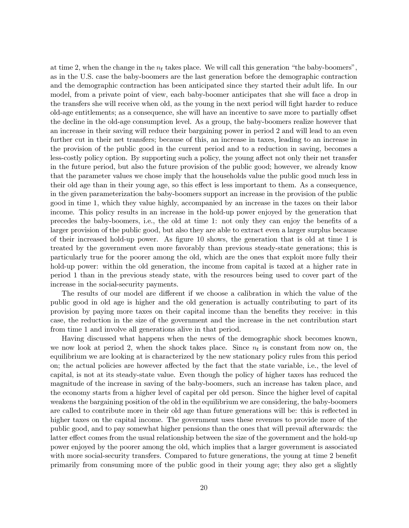at time 2, when the change in the  $n_t$  takes place. We will call this generation "the baby-boomers", as in the U.S. case the baby-boomers are the last generation before the demographic contraction and the demographic contraction has been anticipated since they started their adult life. In our model, from a private point of view, each baby-boomer anticipates that she will face a drop in the transfers she will receive when old, as the young in the next period will fight harder to reduce old-age entitlements; as a consequence, she will have an incentive to save more to partially offset the decline in the old-age consumption level. As a group, the baby-boomers realize however that an increase in their saving will reduce their bargaining power in period 2 and will lead to an even further cut in their net transfers; because of this, an increase in taxes, leading to an increase in the provision of the public good in the current period and to a reduction in saving, becomes a less-costly policy option. By supporting such a policy, the young affect not only their net transfer in the future period, but also the future provision of the public good; however, we already know that the parameter values we chose imply that the households value the public good much less in their old age than in their young age, so this effect is less important to them. As a consequence, in the given parameterization the baby-boomers support an increase in the provision of the public good in time 1, which they value highly, accompanied by an increase in the taxes on their labor income. This policy results in an increase in the hold-up power enjoyed by the generation that precedes the baby-boomers, i.e., the old at time 1: not only they can enjoy the benefits of a larger provision of the public good, but also they are able to extract even a larger surplus because of their increased hold-up power. As figure 10 shows, the generation that is old at time 1 is treated by the government even more favorably than previous steady-state generations; this is particularly true for the poorer among the old, which are the ones that exploit more fully their hold-up power: within the old generation, the income from capital is taxed at a higher rate in period 1 than in the previous steady state, with the resources being used to cover part of the increase in the social-security payments.

The results of our model are different if we choose a calibration in which the value of the public good in old age is higher and the old generation is actually contributing to part of its provision by paying more taxes on their capital income than the benefits they receive: in this case, the reduction in the size of the government and the increase in the net contribution start from time 1 and involve all generations alive in that period.

Having discussed what happens when the news of the demographic shock becomes known, we now look at period 2, when the shock takes place. Since  $n_t$  is constant from now on, the equilibrium we are looking at is characterized by the new stationary policy rules from this period on; the actual policies are however affected by the fact that the state variable, i.e., the level of capital, is not at its steady-state value. Even though the policy of higher taxes has reduced the magnitude of the increase in saving of the baby-boomers, such an increase has taken place, and the economy starts from a higher level of capital per old person. Since the higher level of capital weakens the bargaining position of the old in the equilibrium we are considering, the baby-boomers are called to contribute more in their old age than future generations will be: this is reflected in higher taxes on the capital income. The government uses these revenues to provide more of the public good, and to pay somewhat higher pensions than the ones that will prevail afterwards: the latter effect comes from the usual relationship between the size of the government and the hold-up power enjoyed by the poorer among the old, which implies that a larger government is associated with more social-security transfers. Compared to future generations, the young at time 2 benefit primarily from consuming more of the public good in their young age; they also get a slightly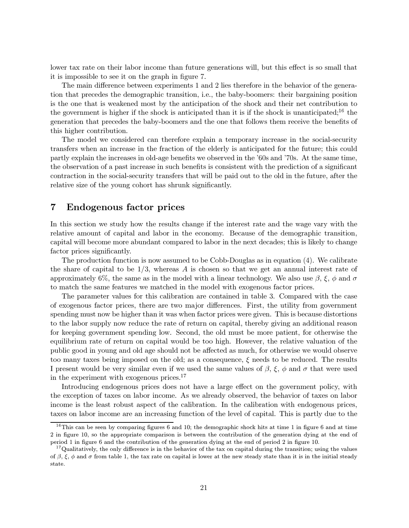lower tax rate on their labor income than future generations will, but this effect is so small that it is impossible to see it on the graph in figure 7.

The main difference between experiments 1 and 2 lies therefore in the behavior of the generation that precedes the demographic transition, i.e., the baby-boomers: their bargaining position is the one that is weakened most by the anticipation of the shock and their net contribution to the government is higher if the shock is anticipated than it is if the shock is unanticipated;<sup>16</sup> the generation that precedes the baby-boomers and the one that follows them receive the benefits of this higher contribution.

The model we considered can therefore explain a temporary increase in the social-security transfers when an increase in the fraction of the elderly is anticipated for the future; this could partly explain the increases in old-age benefits we observed in the '60s and '70s. At the same time, the observation of a past increase in such benefits is consistent with the prediction of a significant contraction in the social-security transfers that will be paid out to the old in the future, after the relative size of the young cohort has shrunk significantly.

### $\overline{7}$ Endogenous factor prices

In this section we study how the results change if the interest rate and the wage vary with the relative amount of capital and labor in the economy. Because of the demographic transition, capital will become more abundant compared to labor in the next decades; this is likely to change factor prices significantly.

The production function is now assumed to be Cobb-Douglas as in equation  $(4)$ . We calibrate the share of capital to be  $1/3$ , whereas A is chosen so that we get an annual interest rate of approximately 6%, the same as in the model with a linear technology. We also use  $\beta$ ,  $\xi$ ,  $\phi$  and  $\sigma$ to match the same features we matched in the model with exogenous factor prices.

The parameter values for this calibration are contained in table 3. Compared with the case of exogenous factor prices, there are two major differences. First, the utility from government spending must now be higher than it was when factor prices were given. This is because distortions to the labor supply now reduce the rate of return on capital, thereby giving an additional reason for keeping government spending low. Second, the old must be more patient, for otherwise the equilibrium rate of return on capital would be too high. However, the relative valuation of the public good in young and old age should not be affected as much, for otherwise we would observe too many taxes being imposed on the old; as a consequence,  $\xi$  needs to be reduced. The results I present would be very similar even if we used the same values of  $\beta$ ,  $\xi$ ,  $\phi$  and  $\sigma$  that were used in the experiment with exogenous prices.<sup>17</sup>

Introducing endogenous prices does not have a large effect on the government policy, with the exception of taxes on labor income. As we already observed, the behavior of taxes on labor income is the least robust aspect of the calibration. In the calibration with endogenous prices, taxes on labor income are an increasing function of the level of capital. This is partly due to the

<sup>&</sup>lt;sup>16</sup>This can be seen by comparing figures 6 and 10; the demographic shock hits at time 1 in figure 6 and at time 2 in figure 10, so the appropriate comparison is between the contribution of the generation dying at the end of period 1 in figure 6 and the contribution of the generation dying at the end of period 2 in figure 10.

<sup>&</sup>lt;sup>17</sup>Qualitatively, the only difference is in the behavior of the tax on capital during the transition; using the values of  $\beta$ ,  $\xi$ ,  $\phi$  and  $\sigma$  from table 1, the tax rate on capital is lower at the new steady state than it is in the initial steady state.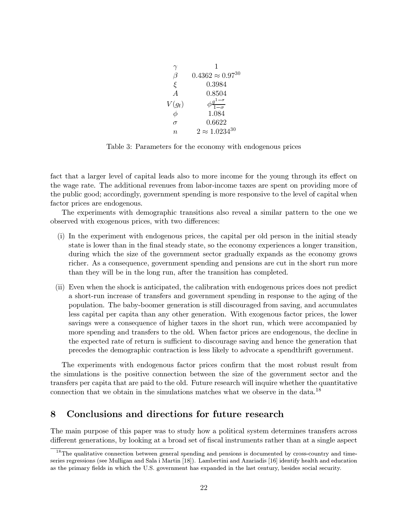$$
\gamma \n1\nβ \n0.4362 ≈ 0.9730\nξ \n0.3984\nA \n0.8504\nV(gt) \nφ\n1-σ\n0\n0\n0\n0\n0\n0\n0.6622\nn \n2 ≈ 1.023430
$$

Table 3: Parameters for the economy with endogenous prices

fact that a larger level of capital leads also to more income for the young through its effect on the wage rate. The additional revenues from labor-income taxes are spent on providing more of the public good; accordingly, government spending is more responsive to the level of capital when factor prices are endogenous.

The experiments with demographic transitions also reveal a similar pattern to the one we observed with exogenous prices, with two differences:

- (i) In the experiment with endogenous prices, the capital per old person in the initial steady state is lower than in the final steady state, so the economy experiences a longer transition, during which the size of the government sector gradually expands as the economy grows richer. As a consequence, government spending and pensions are cut in the short run more than they will be in the long run, after the transition has completed.
- (ii) Even when the shock is anticipated, the calibration with endogenous prices does not predict a short-run increase of transfers and government spending in response to the aging of the population. The baby-boomer generation is still discouraged from saving, and accumulates less capital per capita than any other generation. With exogenous factor prices, the lower savings were a consequence of higher taxes in the short run, which were accompanied by more spending and transfers to the old. When factor prices are endogenous, the decline in the expected rate of return is sufficient to discourage saving and hence the generation that precedes the demographic contraction is less likely to advocate a spendthrift government.

The experiments with endogenous factor prices confirm that the most robust result from the simulations is the positive connection between the size of the government sector and the transfers per capita that are paid to the old. Future research will inquire whether the quantitative connection that we obtain in the simulations matches what we observe in the data.<sup>18</sup>

# 8 Conclusions and directions for future research

The main purpose of this paper was to study how a political system determines transfers across different generations, by looking at a broad set of fiscal instruments rather than at a single aspect

 $^{18}$ The qualitative connection between general spending and pensions is documented by cross-country and timeseries regressions (see Mulligan and Sala i Martin [18]). Lambertini and Azariadis [16] identify health and education as the primary fields in which the U.S. government has expanded in the last century, besides social security.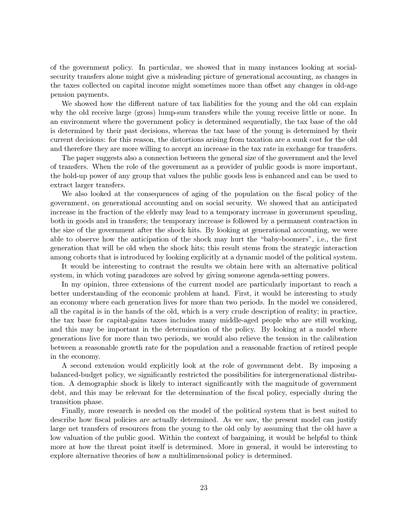of the government policy. In particular, we showed that in many instances looking at socialsecurity transfers alone might give a misleading picture of generational accounting, as changes in the taxes collected on capital income might sometimes more than offset any changes in old-age pension payments.

We showed how the different nature of tax liabilities for the young and the old can explain why the old receive large (gross) lump-sum transfers while the young receive little or none. In an environment where the government policy is determined sequentially, the tax base of the old is determined by their past decisions, whereas the tax base of the young is determined by their current decisions: for this reason, the distortions arising from taxation are a sunk cost for the old and therefore they are more willing to accept an increase in the tax rate in exchange for transfers.

The paper suggests also a connection between the general size of the government and the level of transfers. When the role of the government as a provider of public goods is more important, the hold-up power of any group that values the public goods less is enhanced and can be used to extract larger transfers.

We also looked at the consequences of aging of the population on the fiscal policy of the government, on generational accounting and on social security. We showed that an anticipated increase in the fraction of the elderly may lead to a temporary increase in government spending, both in goods and in transfers; the temporary increase is followed by a permanent contraction in the size of the government after the shock hits. By looking at generational accounting, we were able to observe how the anticipation of the shock may hurt the "baby-boomers", i.e., the first generation that will be old when the shock hits; this result stems from the strategic interaction among cohorts that is introduced by looking explicitly at a dynamic model of the political system.

It would be interesting to contrast the results we obtain here with an alternative political system, in which voting paradoxes are solved by giving someone agenda-setting powers.

In my opinion, three extensions of the current model are particularly important to reach a better understanding of the economic problem at hand. First, it would be interesting to study an economy where each generation lives for more than two periods. In the model we considered, all the capital is in the hands of the old, which is a very crude description of reality; in practice, the tax base for capital-gains taxes includes many middle-aged people who are still working, and this may be important in the determination of the policy. By looking at a model where generations live for more than two periods, we would also relieve the tension in the calibration between a reasonable growth rate for the population and a reasonable fraction of retired people in the economy.

A second extension would explicitly look at the role of government debt. By imposing a balanced-budget policy, we significantly restricted the possibilities for intergenerational distribution. A demographic shock is likely to interact significantly with the magnitude of government debt, and this may be relevant for the determination of the fiscal policy, especially during the transition phase.

Finally, more research is needed on the model of the political system that is best suited to describe how fiscal policies are actually determined. As we saw, the present model can justify large net transfers of resources from the young to the old only by assuming that the old have a low valuation of the public good. Within the context of bargaining, it would be helpful to think more at how the threat point itself is determined. More in general, it would be interesting to explore alternative theories of how a multidimensional policy is determined.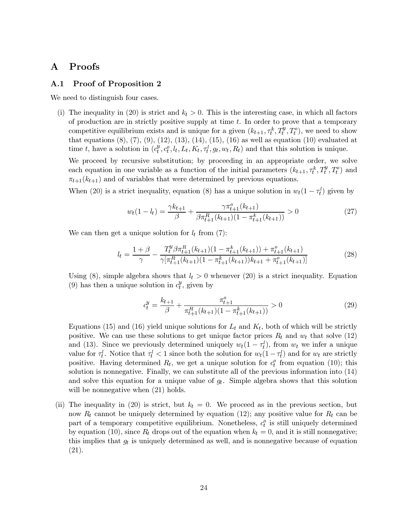# Proofs  $\mathbf{A}$

#### **Proof of Proposition 2**  $\mathbf{A.1}$

We need to distinguish four cases.

(i) The inequality in (20) is strict and  $k_t > 0$ . This is the interesting case, in which all factors of production are in strictly positive supply at time  $t$ . In order to prove that a temporary competitive equilibrium exists and is unique for a given  $(k_{t+1}, \tau_t^k, T_t^y, T_t^o)$ , we need to show that equations  $(8)$ ,  $(7)$ ,  $(9)$ ,  $(12)$ ,  $(13)$ ,  $(14)$ ,  $(15)$ ,  $(16)$  as well as equation  $(10)$  evaluated at time t, have a solution in  $(c_t^y, c_t^o, l_t, L_t, K_t, \tau_t^l, g_t, w_t, R_t)$  and that this solution is unique.

We proceed by recursive substitution; by proceeding in an appropriate order, we solve each equation in one variable as a function of the initial parameters  $(k_{t+1}, \tau_t^k, T_t^y, T_t^o)$  and  $\pi_{t+1}(k_{t+1})$  and of variables that were determined by previous equations.

When (20) is a strict inequality, equation (8) has a unique solution in  $w_t(1 - \tau_t^l)$  given by

$$
w_t(1 - l_t) = \frac{\gamma k_{t+1}}{\beta} + \frac{\gamma \pi_{t+1}^o(k_{t+1})}{\beta \pi_{t+1}^R(k_{t+1})(1 - \pi_{t+1}^k(k_{t+1}))} > 0
$$
\n
$$
(27)
$$

We can then get a unique solution for  $l_t$  from (7):

$$
l_{t} = \frac{1+\beta}{\gamma} - \frac{T_{t}^y \beta \pi_{t+1}^R(k_{t+1})(1 - \pi_{t+1}^k(k_{t+1})) + \pi_{t+1}^o(k_{t+1})}{\gamma[\pi_{t+1}^R(k_{t+1})(1 - \pi_{t+1}^k(k_{t+1}))k_{t+1} + \pi_{t+1}^o(k_{t+1})]}
$$
(28)

Using (8), simple algebra shows that  $l_t > 0$  whenever (20) is a strict inequality. Equation (9) has then a unique solution in  $c_t^y$ , given by

$$
c_t^y = \frac{k_{t+1}}{\beta} + \frac{\pi_{t+1}^o}{\pi_{t+1}^R(k_{t+1})(1 - \pi_{t+1}^k(k_{t+1}))} > 0
$$
\n
$$
(29)
$$

Equations (15) and (16) yield unique solutions for  $L_t$  and  $K_t$ , both of which will be strictly positive. We can use these solutions to get unique factor prices  $R_t$  and  $w_t$  that solve (12) and (13). Since we previously determined uniquely  $w_t(1-\tau_t^l)$ , from  $w_t$  we infer a unique value for  $\tau_t^l$ . Notice that  $\tau_t^l < 1$  since both the solution for  $w_t(1 - \tau_t^l)$  and for  $w_t$  are strictly positive. Having determined  $R_t$ , we get a unique solution for  $c_t^o$  from equation (10); this solution is nonnegative. Finally, we can substitute all of the previous information into (14) and solve this equation for a unique value of  $g_t$ . Simple algebra shows that this solution will be nonnegative when  $(21)$  holds.

(ii) The inequality in (20) is strict, but  $k_t = 0$ . We proceed as in the previous section, but now  $R_t$  cannot be uniquely determined by equation (12); any positive value for  $R_t$  can be part of a temporary competitive equilibrium. Nonetheless,  $c_i^o$  is still uniquely determined by equation (10), since  $R_t$  drops out of the equation when  $k_t = 0$ , and it is still nonnegative; this implies that  $g_t$  is uniquely determined as well, and is nonnegative because of equation  $(21).$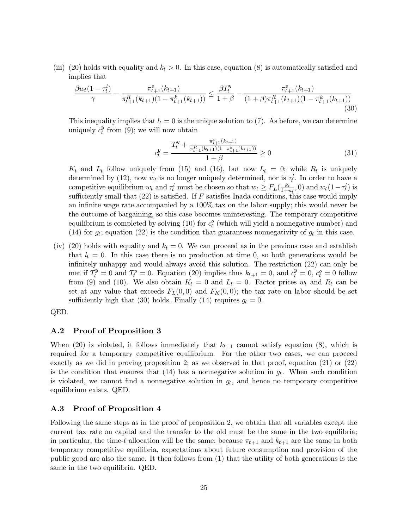(iii) (20) holds with equality and  $k_t > 0$ . In this case, equation (8) is automatically satisfied and implies that

$$
\frac{\beta w_t (1 - \tau_t^l)}{\gamma} - \frac{\pi_{t+1}^o(k_{t+1})}{\pi_{t+1}^R(k_{t+1})(1 - \pi_{t+1}^k(k_{t+1}))} \le \frac{\beta T_t^y}{1 + \beta} - \frac{\pi_{t+1}^o(k_{t+1})}{(1 + \beta)\pi_{t+1}^R(k_{t+1})(1 - \pi_{t+1}^k(k_{t+1}))}
$$
(30)

This inequality implies that  $l_t = 0$  is the unique solution to (7). As before, we can determine uniquely  $c_t^y$  from (9); we will now obtain

$$
c_t^y = \frac{T_t^y + \frac{\pi_{t+1}^o(k_{t+1})}{\pi_{t+1}^R(k_{t+1})(1 - \pi_{t+1}^k(k_{t+1}))}}{1 + \beta} \ge 0
$$
\n(31)

 $K_t$  and  $L_t$  follow uniquely from (15) and (16), but now  $L_t = 0$ ; while  $R_t$  is uniquely determined by (12), now  $w_t$  is no longer uniquely determined, nor is  $\tau_t^i$ . In order to have a competitive equilibrium  $w_t$  and  $\tau_t^l$  must be chosen so that  $w_t \geq F_L(\frac{k_t}{1+n_t}, 0)$  and  $w_t(1-\tau_t^l)$  is sufficiently small that  $(22)$  is satisfied. If F satisfies Inada conditions, this case would imply an infinite wage rate accompanied by a  $100\%$  tax on the labor supply; this would never be the outcome of bargaining, so this case becomes uninteresting. The temporary competitive equilibrium is completed by solving (10) for  $c_t^o$  (which will yield a nonnegative number) and (14) for  $g_t$ ; equation (22) is the condition that guarantees nonnegativity of  $g_t$  in this case.

(iv) (20) holds with equality and  $k_t = 0$ . We can proceed as in the previous case and establish that  $l_t = 0$ . In this case there is no production at time 0, so both generations would be infinitely unhappy and would always avoid this solution. The restriction (22) can only be met if  $T_t^y = 0$  and  $T_t^o = 0$ . Equation (20) implies thus  $k_{t+1} = 0$ , and  $c_t^y = 0$ ,  $c_t^o = 0$  follow from (9) and (10). We also obtain  $K_t = 0$  and  $L_t = 0$ . Factor prices  $w_t$  and  $R_t$  can be set at any value that exceeds  $F_L(0,0)$  and  $F_K(0,0)$ ; the tax rate on labor should be set sufficiently high that (30) holds. Finally (14) requires  $g_t = 0$ .

QED.

#### **Proof of Proposition 3**  $\bf A.2$

When (20) is violated, it follows immediately that  $k_{t+1}$  cannot satisfy equation (8), which is required for a temporary competitive equilibrium. For the other two cases, we can proceed exactly as we did in proving proposition 2; as we observed in that proof, equation  $(21)$  or  $(22)$ is the condition that ensures that (14) has a nonnegative solution in  $g_t$ . When such condition is violated, we cannot find a nonnegative solution in  $g_t$ , and hence no temporary competitive equilibrium exists. QED.

#### **Proof of Proposition 4**  $A.3$

Following the same steps as in the proof of proposition 2, we obtain that all variables except the current tax rate on capital and the transfer to the old must be the same in the two equilibria; in particular, the time-t allocation will be the same; because  $\pi_{t+1}$  and  $k_{t+1}$  are the same in both temporary competitive equilibria, expectations about future consumption and provision of the public good are also the same. It then follows from (1) that the utility of both generations is the same in the two equilibria. QED.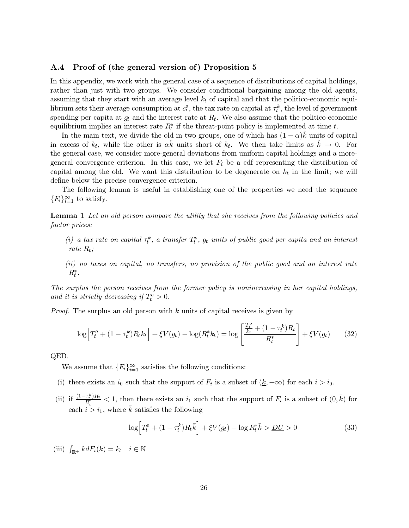#### Proof of (the general version of) Proposition 5  $\rm A.4$

In this appendix, we work with the general case of a sequence of distributions of capital holdings, rather than just with two groups. We consider conditional bargaining among the old agents, assuming that they start with an average level  $k_t$  of capital and that the politico-economic equilibrium sets their average consumption at  $c_t^o$ , the tax rate on capital at  $\tau_t^k$ , the level of government spending per capita at  $g_t$  and the interest rate at  $R_t$ . We also assume that the politico-economic equilibrium implies an interest rate  $R_t^*$  if the threat-point policy is implemented at time t.

In the main text, we divide the old in two groups, one of which has  $(1 - \alpha)k$  units of capital in excess of  $k_t$ , while the other is  $\alpha k$  units short of  $k_t$ . We then take limits as  $k \to 0$ . For the general case, we consider more-general deviations from uniform capital holdings and a moregeneral convergence criterion. In this case, we let  $F_i$  be a cdf representing the distribution of capital among the old. We want this distribution to be degenerate on  $k_t$  in the limit; we will define below the precise convergence criterion.

The following lemma is useful in establishing one of the properties we need the sequence  ${F_i}_{i=1}^{\infty}$  to satisfy.

**Lemma 1** Let an old person compare the utility that she receives from the following policies and *factor prices:* 

- (i) a tax rate on capital  $\tau_t^k$ , a transfer  $T_t^o$ ,  $g_t$  units of public good per capita and an interest rate  $R_t$ ;
- (ii) no taxes on capital, no transfers, no provision of the public good and an interest rate  $R_{1}^{*}$ .

The surplus the person receives from the former policy is nonincreasing in her capital holdings, and it is strictly decreasing if  $T_t^o > 0$ .

*Proof.* The surplus an old person with  $k$  units of capital receives is given by

$$
\log \left[ T_t^o + (1 - \tau_t^k) R_t k_t \right] + \xi V(g_t) - \log(R_t^* k_t) = \log \left[ \frac{\frac{T_t^o}{k_t} + (1 - \tau_t^k) R_t}{R_t^*} \right] + \xi V(g_t) \tag{32}
$$

QED.

We assume that  ${F_i}_{i=1}^{\infty}$  satisfies the following conditions:

- (i) there exists an  $i_0$  such that the support of  $F_i$  is a subset of  $(\underline{k}, +\infty)$  for each  $i > i_0$ .
- (ii) if  $\frac{(1-\tau_i^k)R_t}{R_i^*}$  < 1, then there exists an  $i_1$  such that the support of  $F_i$  is a subset of  $(0,\bar{k})$  for each  $i > i_1$ , where  $\bar{k}$  satisfies the following

$$
\log \left[ T_t^o + (1 - \tau_t^k) R_t \bar{k} \right] + \xi V(g_t) - \log R_t^* \bar{k} > \underline{DU} > 0 \tag{33}
$$

(iii)  $\int_{\mathbb{R}^+} k dF_i(k) = k_t \quad i \in \mathbb{N}$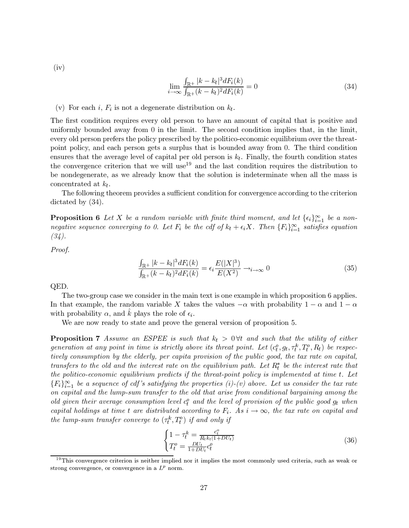$(iv)$ 

$$
\lim_{k \to \infty} \frac{\int_{\mathbb{R}^+} |k - k_t|^3 dF_i(k)}{\int_{\mathbb{R}^+} (k - k_t)^2 dF_i(k)} = 0
$$
\n(34)

(v) For each i,  $F_i$  is not a degenerate distribution on  $k_t$ .

The first condition requires every old person to have an amount of capital that is positive and uniformly bounded away from 0 in the limit. The second condition implies that, in the limit, every old person prefers the policy prescribed by the politico-economic equilibrium over the threatpoint policy, and each person gets a surplus that is bounded away from 0. The third condition ensures that the average level of capital per old person is  $k_t$ . Finally, the fourth condition states the convergence criterion that we will use<sup>19</sup> and the last condition requires the distribution to be nondegenerate, as we already know that the solution is indeterminate when all the mass is concentrated at  $k_t$ .

The following theorem provides a sufficient condition for convergence according to the criterion dictated by  $(34)$ .

**Proposition 6** Let X be a random variable with finite third moment, and let  $\{\epsilon_i\}_{i=1}^{\infty}$  be a nonnegative sequence converging to 0. Let  $F_i$  be the cdf of  $k_t + \epsilon_i X$ . Then  $\{F_i\}_{i=1}^{\infty}$  satisfies equation  $(34)$ .

Proof.

$$
\frac{\int_{\mathbb{R}^+} |k - k_t|^3 dF_i(k)}{\int_{\mathbb{R}^+} (k - k_t)^2 dF_i(k)} = \epsilon_i \frac{E(|X|^3)}{E(X^2)} \longrightarrow_{i \to \infty} 0
$$
\n(35)

QED.

The two-group case we consider in the main text is one example in which proposition 6 applies. In that example, the random variable X takes the values  $-\alpha$  with probability  $1-\alpha$  and  $1-\alpha$ with probability  $\alpha$ , and k plays the role of  $\epsilon_i$ .

We are now ready to state and prove the general version of proposition 5.

**Proposition 7** Assume an ESPEE is such that  $k_t > 0$   $\forall t$  and such that the utility of either generation at any point in time is strictly above its threat point. Let  $(c_t^o, g_t, \tau_t^k, T_t^o, R_t)$  be respectively consumption by the elderly, per capita provision of the public good, the tax rate on capital, transfers to the old and the interest rate on the equilibrium path. Let  $R_t^*$  be the interest rate that the politico-economic equilibrium predicts if the threat-point policy is implemented at time t. Let  ${F_i}_{i=1}^{\infty}$  be a sequence of cdf's satisfying the properties (i)-(v) above. Let us consider the tax rate on capital and the lump-sum transfer to the old that arise from conditional bargaining among the old given their average consumption level  $c_t^o$  and the level of provision of the public good  $g_t$  when capital holdings at time t are distributed according to  $F_i$ . As  $i \to \infty$ , the tax rate on capital and the lump-sum transfer converge to  $(\tau_t^k, T_t^o)$  if and only if

$$
\begin{cases}\n1 - \tau_t^k = \frac{c_t^2}{R_t k_t (1 + DU_t)} \\
T_t^o = \frac{DU_t}{1 + DU_t} c_t^o\n\end{cases}
$$
\n(36)

 $19$ This convergence criterion is neither implied nor it implies the most commonly used criteria, such as weak or strong convergence, or convergence in a  $L^p$  norm.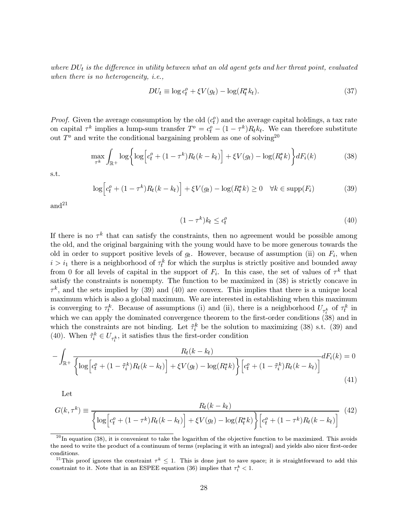where  $DU_t$  is the difference in utility between what an old agent gets and her threat point, evaluated when there is no heterogeneity, i.e.,

$$
DU_t \equiv \log c_t^o + \xi V(g_t) - \log(R_t^* k_t). \tag{37}
$$

*Proof.* Given the average consumption by the old  $(c<sub>t</sub><sup>o</sup>)$  and the average capital holdings, a tax rate on capital  $\tau^k$  implies a lump-sum transfer  $T^o = c_t^o - (1 - \tau^k)R_t k_t$ . We can therefore substitute out  $T^{\circ}$  and write the conditional bargaining problem as one of solving<sup>20</sup>

$$
\max_{\tau^k} \int_{\mathbb{R}^+} \log \left\{ \log \left[ c_t^o + (1 - \tau^k) R_t(k - k_t) \right] + \xi V(g_t) - \log(R_t^* k) \right\} dF_i(k)
$$
(38)

s.t.

$$
\log \left[ c_t^o + (1 - \tau^k) R_t(k - k_t) \right] + \xi V(g_t) - \log(R_t^* k) \ge 0 \quad \forall k \in \text{supp}(F_i)
$$
 (39)

and $21$ 

$$
(1 - \tau^k)k_t \le c_t^o \tag{40}
$$

If there is no  $\tau^k$  that can satisfy the constraints, then no agreement would be possible among the old, and the original bargaining with the young would have to be more generous towards the old in order to support positive levels of  $q_t$ . However, because of assumption (ii) on  $F_i$ , when  $i > i_1$  there is a neighborhood of  $\tau_t^k$  for which the surplus is strictly positive and bounded away from 0 for all levels of capital in the support of  $F_i$ . In this case, the set of values of  $\tau^k$  that satisfy the constraints is nonempty. The function to be maximized in (38) is strictly concave in  $\tau^k$ , and the sets implied by (39) and (40) are convex. This implies that there is a unique local maximum which is also a global maximum. We are interested in establishing when this maximum is converging to  $\tau_t^k$ . Because of assumptions (i) and (ii), there is a neighborhood  $U_{\tau_t^k}$  of  $\tau_t^k$  in which we can apply the dominated convergence theorem to the first-order conditions  $(38)$  and in which the constraints are not binding. Let  $\tilde{\tau}_i^k$  be the solution to maximizing (38) s.t. (39) and (40). When  $\tilde{\tau}^k_i \in U_{\tau^k_i},$  it satisfies thus the first-order condition

$$
-\int_{\mathbb{R}^+} \frac{R_t(k - k_t)}{\left\{ \log \left[ c_t^o + (1 - \tilde{\tau}_i^k) R_t(k - k_t) \right] + \xi V(g_t) - \log(R_t^* k) \right\} \left[ c_t^o + (1 - \tilde{\tau}_i^k) R_t(k - k_t) \right]} dF_i(k) = 0
$$
\n(41)

Let

$$
G(k,\tau^{k}) \equiv \frac{R_{t}(k-k_{t})}{\left\{\log\left[c_{t}^{o} + (1-\tau^{k})R_{t}(k-k_{t})\right] + \xi V(g_{t}) - \log(R_{t}^{*}k)\right\}\left[c_{t}^{o} + (1-\tau^{k})R_{t}(k-k_{t})\right]} \tag{42}
$$

 $^{20}$ In equation (38), it is convenient to take the logarithm of the objective function to be maximized. This avoids the need to write the product of a continuum of terms (replacing it with an integral) and yields also nicer first-order conditions.

<sup>&</sup>lt;sup>21</sup>This proof ignores the constraint  $\tau^k \leq 1$ . This is done just to save space; it is straightforward to add this constraint to it. Note that in an ESPEE equation (36) implies that  $\tau_t^k < 1$ .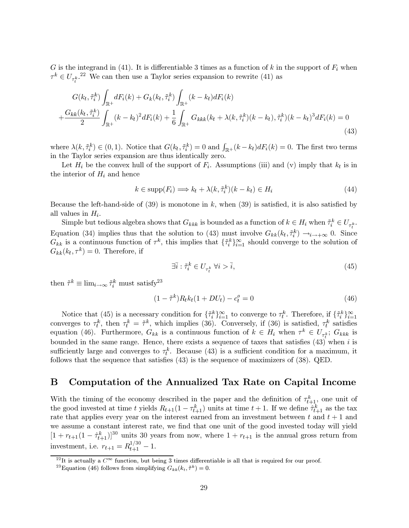G is the integrand in (41). It is differentiable 3 times as a function of k in the support of  $F_i$  when  $\tau^k \in U_{\tau^k}$ .<sup>22</sup> We can then use a Taylor series expansion to rewrite (41) as

$$
G(k_t, \tilde{\tau}_i^k) \int_{\mathbb{R}^+} dF_i(k) + G_k(k_t, \tilde{\tau}_i^k) \int_{\mathbb{R}^+} (k - k_t) dF_i(k)
$$
  
+ 
$$
\frac{G_{kk}(k_t, \tilde{\tau}_i^k)}{2} \int_{\mathbb{R}^+} (k - k_t)^2 dF_i(k) + \frac{1}{6} \int_{\mathbb{R}^+} G_{kkk}(k_t + \lambda(k, \tilde{\tau}_i^k)(k - k_t), \tilde{\tau}_i^k)(k - k_t)^3 dF_i(k) = 0
$$
\n(43)

where  $\lambda(k, \tilde{\tau}_i^k) \in (0, 1)$ . Notice that  $G(k_t, \tilde{\tau}_i^k) = 0$  and  $\int_{\mathbb{R}^+} (k - k_t) dF_i(k) = 0$ . The first two terms in the Taylor series expansion are thus identically zero.

Let  $H_i$  be the convex hull of the support of  $F_i$ . Assumptions (iii) and (v) imply that  $k_i$  is in the interior of  $H_i$  and hence

$$
k \in \text{supp}(F_i) \Longrightarrow k_t + \lambda(k, \tilde{\tau}_i^k)(k - k_t) \in H_i \tag{44}
$$

Because the left-hand-side of  $(39)$  is monotone in k, when  $(39)$  is satisfied, it is also satisfied by all values in  $H_i$ .

Simple but tedious algebra shows that  $G_{kkk}$  is bounded as a function of  $k \in H_i$  when  $\tilde{\tau}_i^k \in U_{\tau_i^k}$ . Equation (34) implies thus that the solution to (43) must involve  $G_{kk}(k_t, \tilde{\tau}_i^k) \rightarrow_{i \to +\infty} 0$ . Since  $G_{kk}$  is a continuous function of  $\tau^k$ , this implies that  $\{\tilde{\tau}_i^k\}_{i=1}^{\infty}$  should converge to the solution of  $G_{kk}(k_t, \tau^k) = 0$ . Therefore, if

$$
\exists \bar{i} : \tilde{\tau}_i^k \in U_{\tau_i^k} \ \forall i > \bar{i},\tag{45}
$$

then  $\tilde{\tau}^k \equiv \lim_{i \to \infty} \tilde{\tau}_i^k$  must satisfy<sup>23</sup>

$$
(1 - \tilde{\tau}^k) R_t k_t (1 + DU_t) - c_t^o = 0 \tag{46}
$$

Notice that (45) is a necessary condition for  $\{\tilde{\tau}_i^k\}_{i=1}^{\infty}$  to converge to  $\tau_i^k$ . Therefore, if  $\{\tilde{\tau}_i^k\}_{i=1}^{\infty}$ converges to  $\tau_t^k$ , then  $\tau_t^k = \tilde{\tau}^k$ , which implies (36). Conversely, if (36) is satisfied,  $\tau_t^k$  satisfies equation (46). Furthermore,  $G_{kk}$  is a continuous function of  $k \in H_i$  when  $\tau^k \in U_{\tau^k}$ ;  $G_{kkk}$  is bounded in the same range. Hence, there exists a sequence of taxes that satisfies  $(43)$  when i is sufficiently large and converges to  $\tau_t^k$ . Because (43) is a sufficient condition for a maximum, it follows that the sequence that satisfies  $(43)$  is the sequence of maximizers of  $(38)$ . QED.

# B Computation of the Annualized Tax Rate on Capital Income

With the timing of the economy described in the paper and the definition of  $\tau_{t+1}^k$ , one unit of the good invested at time t yields  $R_{t+1}(1-\tau_{t+1}^k)$  units at time  $t+1$ . If we define  $\hat{\tau}_{t+1}^k$  as the tax rate that applies every year on the interest earned from an investment between t and  $t + 1$  and we assume a constant interest rate, we find that one unit of the good invested today will yield  $[1 + r_{t+1}(1 - \hat{\tau}_{t+1}^k)]^{30}$  units 30 years from now, where  $1 + r_{t+1}$  is the annual gross return from investment, i.e.  $r_{t+1} = R_{t+1}^{1/30} - 1$ .

<sup>&</sup>lt;sup>22</sup>It is actually a  $C^{\infty}$  function, but being 3 times differentiable is all that is required for our proof.

<sup>&</sup>lt;sup>23</sup> Equation (46) follows from simplifying  $G_{kk}(k_t, \tilde{\tau}^k) = 0$ .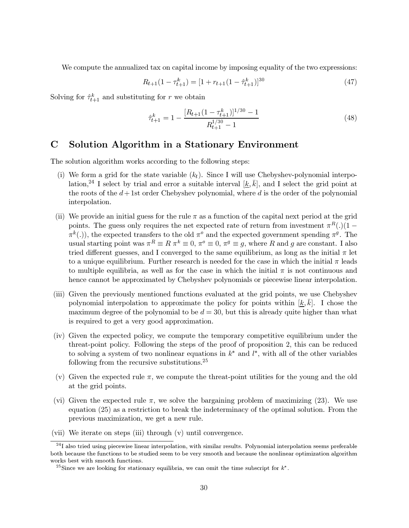We compute the annualized tax on capital income by imposing equality of the two expressions:

$$
R_{t+1}(1 - \tau_{t+1}^k) = [1 + r_{t+1}(1 - \hat{\tau}_{t+1}^k)]^{30}
$$
\n
$$
(47)
$$

Solving for  $\hat{\tau}_{t+1}^k$  and substituting for r we obtain

$$
\hat{\tau}_{t+1}^k = 1 - \frac{[R_{t+1}(1 - \tau_{t+1}^k)]^{1/30} - 1}{R_{t+1}^{1/30} - 1} \tag{48}
$$

# $\mathbf C$ Solution Algorithm in a Stationary Environment

The solution algorithm works according to the following steps:

- (i) We form a grid for the state variable  $(k_t)$ . Since I will use Chebyshev-polynomial interpolation,<sup>24</sup> I select by trial and error a suitable interval  $[\underline{k}, \overline{k}]$ , and I select the grid point at the roots of the  $d+1$ st order Chebyshev polynomial, where d is the order of the polynomial interpolation.
- (ii) We provide an initial guess for the rule  $\pi$  as a function of the capital next period at the grid points. The guess only requires the net expected rate of return from investment  $\pi^R(.)$  (1 –  $\pi^k(.)$ , the expected transfers to the old  $\pi^o$  and the expected government spending  $\pi^g$ . The usual starting point was  $\pi^R \equiv R \pi^k \equiv 0$ ,  $\pi^o \equiv 0$ ,  $\pi^g \equiv q$ , where R and q are constant. I also tried different guesses, and I converged to the same equilibrium, as long as the initial  $\pi$  let to a unique equilibrium. Further research is needed for the case in which the initial  $\pi$  leads to multiple equilibria, as well as for the case in which the initial  $\pi$  is not continuous and hence cannot be approximated by Chebyshev polynomials or piecewise linear interpolation.
- (iii) Given the previously mentioned functions evaluated at the grid points, we use Chebyshev polynomial interpolation to approximate the policy for points within  $[\underline{k}, k]$ . I chose the maximum degree of the polynomial to be  $d = 30$ , but this is already quite higher than what is required to get a very good approximation.
- (iv) Given the expected policy, we compute the temporary competitive equilibrium under the threat-point policy. Following the steps of the proof of proposition 2, this can be reduced to solving a system of two nonlinear equations in  $k^*$  and  $l^*$ , with all of the other variables following from the recursive substitutions.  $25$
- (v) Given the expected rule  $\pi$ , we compute the threat-point utilities for the young and the old at the grid points.
- (vi) Given the expected rule  $\pi$ , we solve the bargaining problem of maximizing (23). We use equation (25) as a restriction to break the indeterminacy of the optimal solution. From the previous maximization, we get a new rule.
- (vii) We iterate on steps (iii) through (v) until convergence.

 $^{24}$ I also tried using piecewise linear interpolation, with similar results. Polynomial interpolation seems preferable both because the functions to be studied seem to be very smooth and because the nonlinear optimization algorithm works best with smooth functions.

<sup>&</sup>lt;sup>25</sup>Since we are looking for stationary equilibria, we can omit the time subscript for  $k^*$ .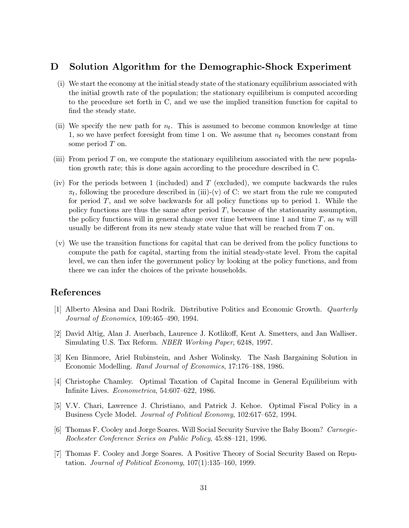# Solution Algorithm for the Demographic-Shock Experiment D

- (i) We start the economy at the initial steady state of the stationary equilibrium associated with the initial growth rate of the population; the stationary equilibrium is computed according to the procedure set forth in C, and we use the implied transition function for capital to find the steady state.
- (ii) We specify the new path for  $n_t$ . This is assumed to become common knowledge at time 1, so we have perfect foresight from time 1 on. We assume that  $n_t$  becomes constant from some period  $T$  on.
- (iii) From period  $T$  on, we compute the stationary equilibrium associated with the new population growth rate; this is done again according to the procedure described in C.
- (iv) For the periods between 1 (included) and  $T$  (excluded), we compute backwards the rules  $\pi_t$ , following the procedure described in (iii)-(v) of C: we start from the rule we computed for period  $T$ , and we solve backwards for all policy functions up to period 1. While the policy functions are thus the same after period  $T$ , because of the stationarity assumption, the policy functions will in general change over time between time 1 and time T, as  $n_t$  will usually be different from its new steady state value that will be reached from  $T$  on.
- (v) We use the transition functions for capital that can be derived from the policy functions to compute the path for capital, starting from the initial steady-state level. From the capital level, we can then infer the government policy by looking at the policy functions, and from there we can infer the choices of the private households.

# References

- [1] Alberto Alesina and Dani Rodrik. Distributive Politics and Economic Growth. *Quarterly* Journal of Economics, 109:465-490, 1994.
- [2] David Altig, Alan J. Auerbach, Laurence J. Kotlikoff, Kent A. Smetters, and Jan Walliser. Simulating U.S. Tax Reform. *NBER Working Paper*, 6248, 1997.
- [3] Ken Binmore, Ariel Rubinstein, and Asher Wolinsky. The Nash Bargaining Solution in Economic Modelling. Rand Journal of Economics, 17:176-188, 1986.
- [4] Christophe Chamley. Optimal Taxation of Capital Income in General Equilibrium with Infinite Lives. *Econometrica*, 54:607–622, 1986.
- [5] V.V. Chari, Lawrence J. Christiano, and Patrick J. Kehoe. Optimal Fiscal Policy in a Business Cycle Model. Journal of Political Economy, 102:617-652, 1994.
- [6] Thomas F. Cooley and Jorge Soares. Will Social Security Survive the Baby Boom? Carnegie-Rochester Conference Series on Public Policy, 45:88-121, 1996.
- [7] Thomas F. Cooley and Jorge Soares. A Positive Theory of Social Security Based on Reputation. Journal of Political Economy,  $107(1):135-160$ , 1999.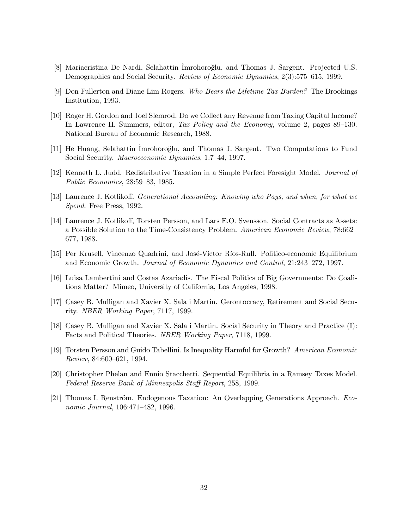- [8] Mariacristina De Nardi, Selahattin İmrohoroğlu, and Thomas J. Sargent, Projected U.S. Demographics and Social Security. Review of Economic Dynamics, 2(3):575–615, 1999.
- [9] Don Fullerton and Diane Lim Rogers. *Who Bears the Lifetime Tax Burden?* The Brookings Institution, 1993.
- [10] Roger H. Gordon and Joel Slemrod. Do we Collect any Revenue from Taxing Capital Income? In Lawrence H. Summers, editor, *Tax Policy and the Economy*, volume 2, pages  $89-130$ . National Bureau of Economic Research, 1988.
- [11] He Huang, Selahattin İmrohoroğlu, and Thomas J. Sargent. Two Computations to Fund Social Security. *Macroeconomic Dunamics*, 1:7-44, 1997.
- [12] Kenneth L. Judd. Redistributive Taxation in a Simple Perfect Foresight Model. *Journal of* Public Economics, 28:59–83, 1985.
- [13] Laurence J. Kotlikoff. *Generational Accounting: Knowing who Pays, and when, for what we*  $Spend.$  Free Press, 1992.
- [14] Laurence J. Kotlikoff, Torsten Persson, and Lars E.O. Svensson, Social Contracts as Assets: a Possible Solution to the Time-Consistency Problem. *American Economic Review*, 78:662– 677, 1988.
- [15] Per Krusell, Vincenzo Quadrini, and José-Víctor Ríos-Rull, Politico-economic Equilibrium and Economic Growth. *Journal of Economic Dynamics and Control*, 21:243–272, 1997.
- [16] Luisa Lambertini and Costas Azariadis. The Fiscal Politics of Big Governments: Do Coalitions Matter? Mimeo, University of California, Los Angeles, 1998.
- [17] Casey B. Mulligan and Xavier X. Sala i Martin. Gerontocracy, Retirement and Social Secu $r$ ity. *NBER Working Paper*, 7117, 1999.
- [18] Casey B. Mulligan and Xavier X. Sala i Martin. Social Security in Theory and Practice (I): Facts and Political Theories. NBER Working Paper. 7118, 1999.
- [19] Torsten Persson and Guido Tabellini. Is Inequality Harmful for Growth? American Economic Review, 84:600-621, 1994.
- [20] Christopher Phelan and Ennio Stacchetti. Sequential Equilibria in a Ramsey Taxes Model. Federal Reserve Bank of Minneapolis Staff Report, 258, 1999.
- [21] Thomas I. Renström. Endogenous Taxation: An Overlapping Generations Approach. Economic Journal, 106:471-482, 1996.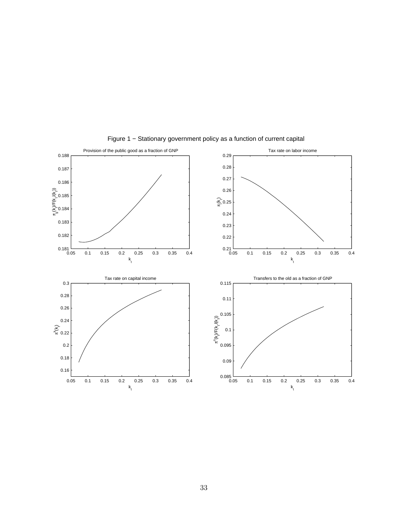

Figure 1 − Stationary government policy as a function of current capital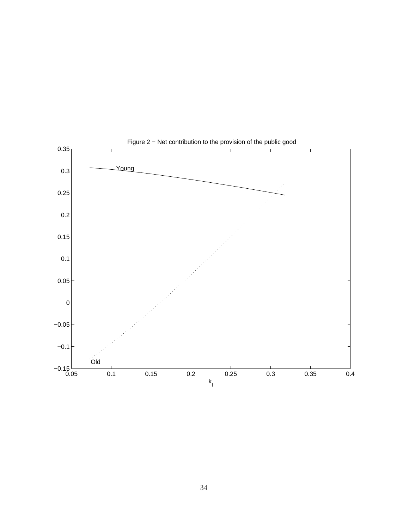

Figure 2 − Net contribution to the provision of the public good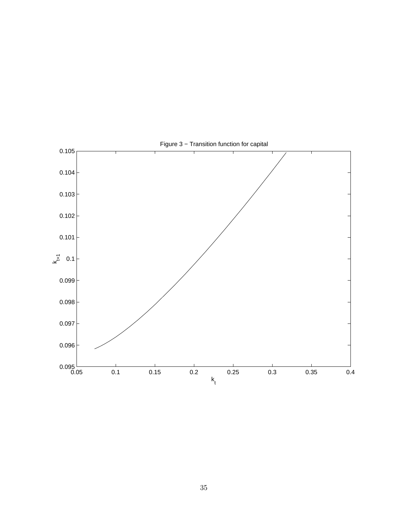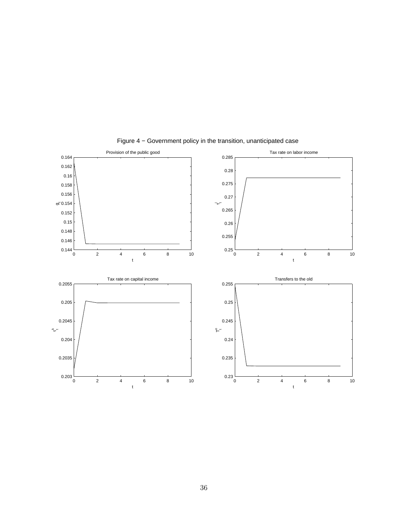

Figure 4 − Government policy in the transition, unanticipated case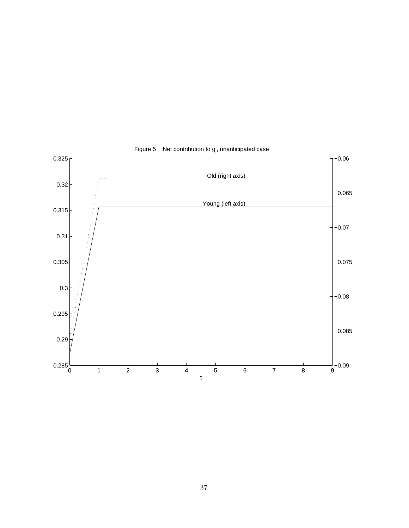

Figure 5 – Net contribution to g<sub>t</sub>, unanticipated case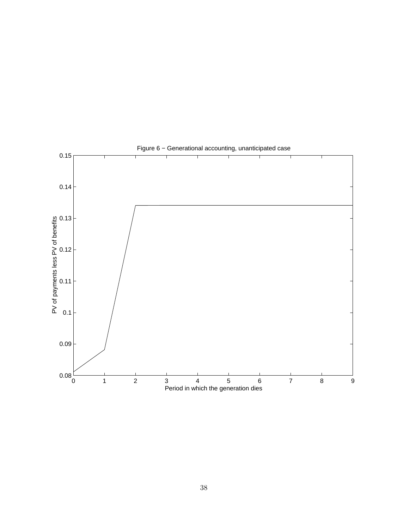

Figure 6 − Generational accounting, unanticipated case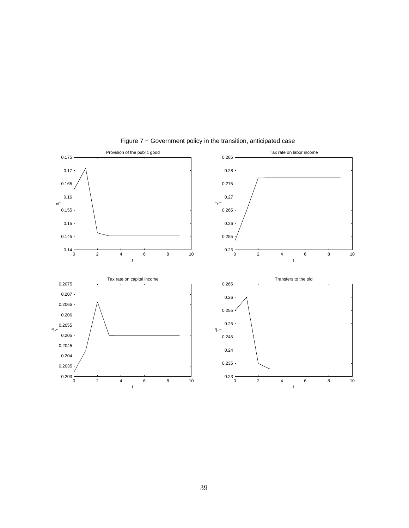

Figure 7 − Government policy in the transition, anticipated case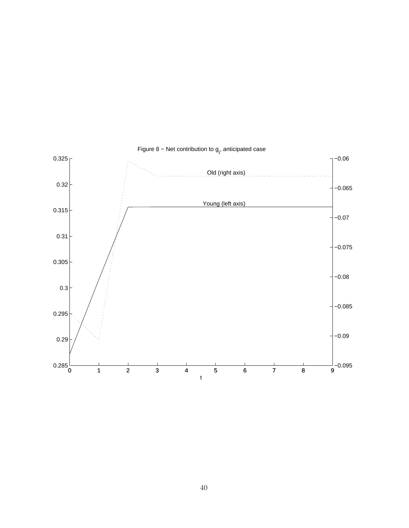

Figure 8 – Net contribution to  $g_t$ , anticipated case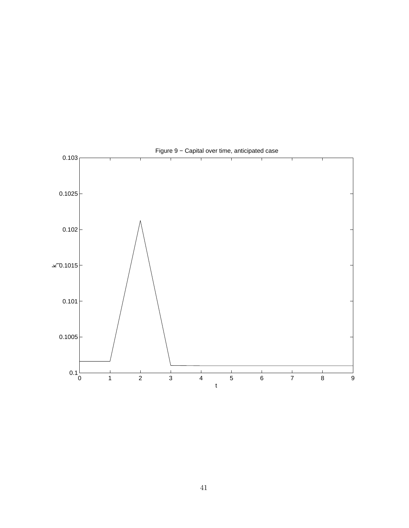

Figure 9 − Capital over time, anticipated case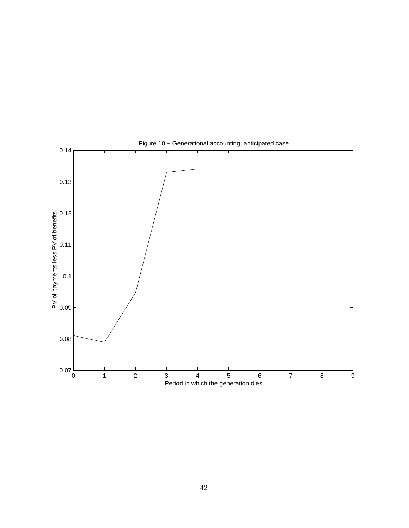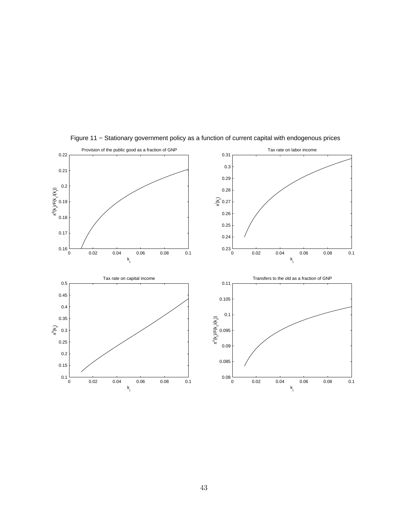

Figure 11 − Stationary government policy as a function of current capital with endogenous prices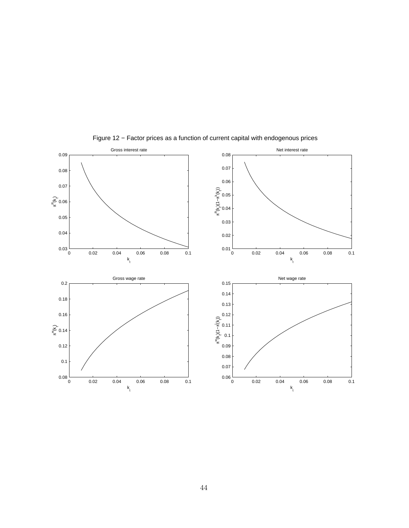

Figure 12 − Factor prices as a function of current capital with endogenous prices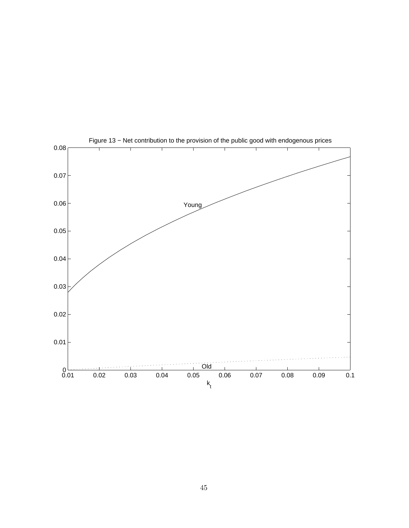

Figure 13 − Net contribution to the provision of the public good with endogenous prices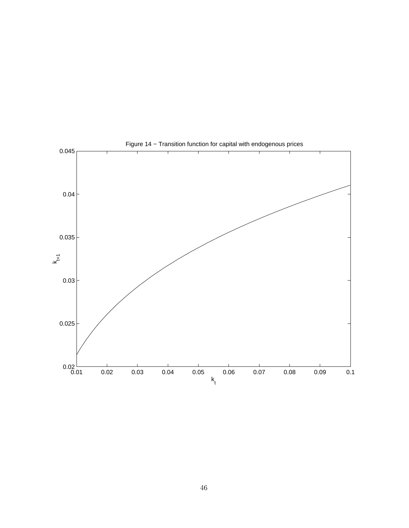

Figure 14 − Transition function for capital with endogenous prices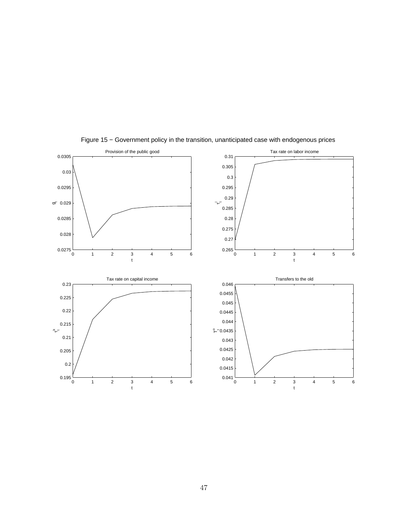

Figure 15 − Government policy in the transition, unanticipated case with endogenous prices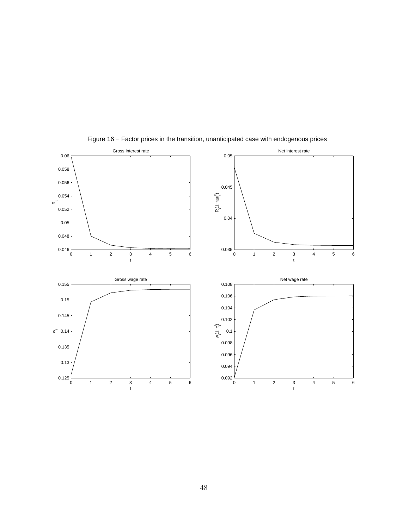

Figure 16 − Factor prices in the transition, unanticipated case with endogenous prices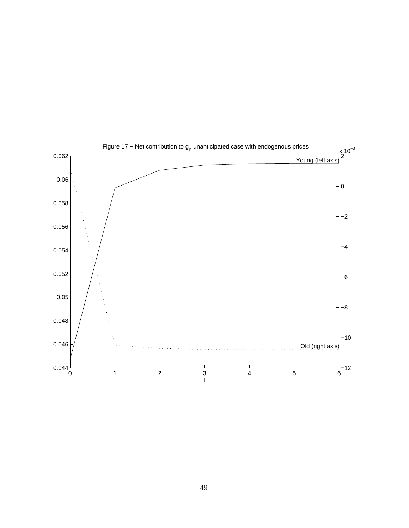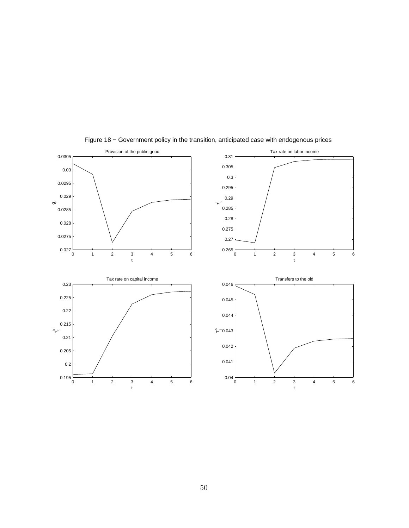

Figure 18 − Government policy in the transition, anticipated case with endogenous prices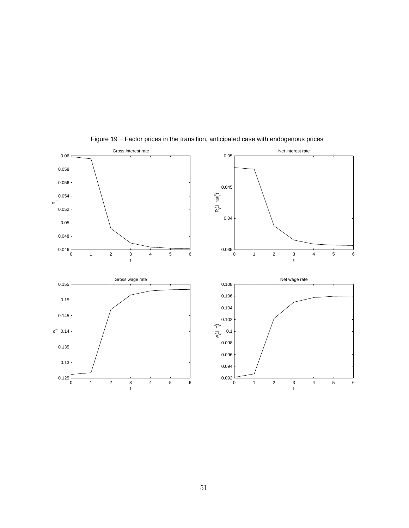

Figure 19 − Factor prices in the transition, anticipated case with endogenous prices